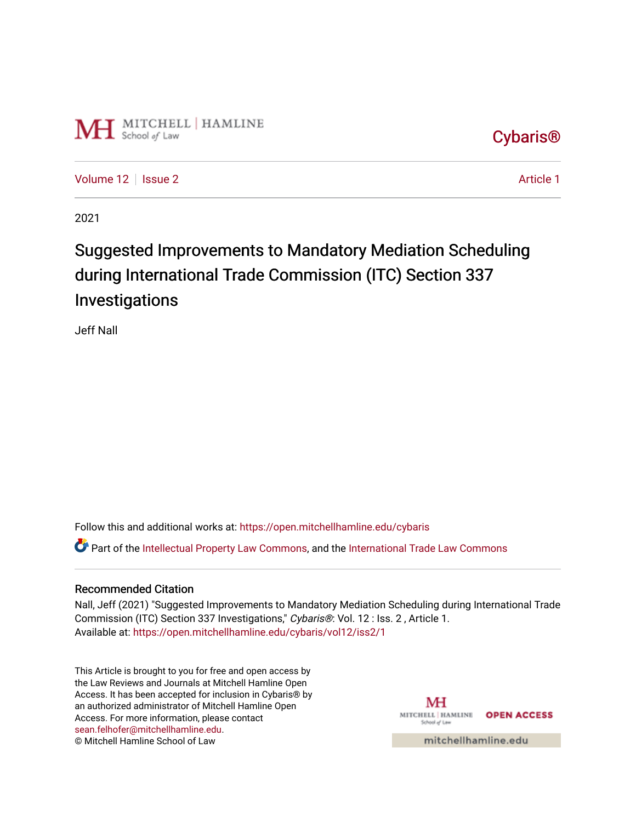

# [Cybaris®](https://open.mitchellhamline.edu/cybaris)

[Volume 12](https://open.mitchellhamline.edu/cybaris/vol12) | [Issue 2](https://open.mitchellhamline.edu/cybaris/vol12/iss2) Article 1

2021

# Suggested Improvements to Mandatory Mediation Scheduling during International Trade Commission (ITC) Section 337 Investigations

Jeff Nall

Follow this and additional works at: [https://open.mitchellhamline.edu/cybaris](https://open.mitchellhamline.edu/cybaris?utm_source=open.mitchellhamline.edu%2Fcybaris%2Fvol12%2Fiss2%2F1&utm_medium=PDF&utm_campaign=PDFCoverPages) 

Part of the [Intellectual Property Law Commons,](http://network.bepress.com/hgg/discipline/896?utm_source=open.mitchellhamline.edu%2Fcybaris%2Fvol12%2Fiss2%2F1&utm_medium=PDF&utm_campaign=PDFCoverPages) and the [International Trade Law Commons](http://network.bepress.com/hgg/discipline/848?utm_source=open.mitchellhamline.edu%2Fcybaris%2Fvol12%2Fiss2%2F1&utm_medium=PDF&utm_campaign=PDFCoverPages) 

#### Recommended Citation

Nall, Jeff (2021) "Suggested Improvements to Mandatory Mediation Scheduling during International Trade Commission (ITC) Section 337 Investigations," Cybaris®: Vol. 12 : Iss. 2 , Article 1. Available at: [https://open.mitchellhamline.edu/cybaris/vol12/iss2/1](https://open.mitchellhamline.edu/cybaris/vol12/iss2/1?utm_source=open.mitchellhamline.edu%2Fcybaris%2Fvol12%2Fiss2%2F1&utm_medium=PDF&utm_campaign=PDFCoverPages) 

This Article is brought to you for free and open access by the Law Reviews and Journals at Mitchell Hamline Open Access. It has been accepted for inclusion in Cybaris® by an authorized administrator of Mitchell Hamline Open Access. For more information, please contact [sean.felhofer@mitchellhamline.edu](mailto:sean.felhofer@mitchellhamline.edu). © Mitchell Hamline School of Law

MH MITCHELL | HAMLINE OPEN ACCESS School of Law

mitchellhamline.edu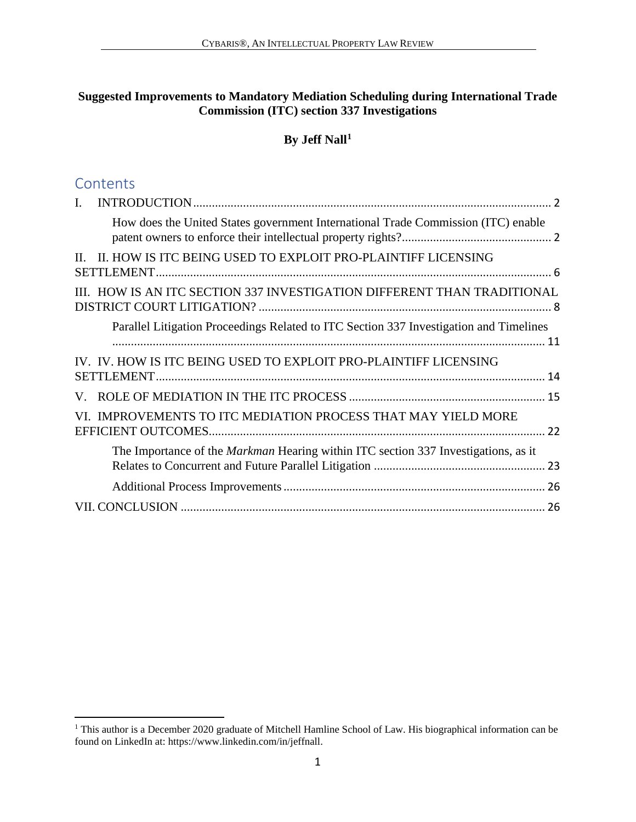#### **Suggested Improvements to Mandatory Mediation Scheduling during International Trade Commission (ITC) section 337 Investigations**

#### **By Jeff Nall[1](#page-1-0)**

### **Contents**

| $\mathbf{I}$ . |                                                                                           |  |
|----------------|-------------------------------------------------------------------------------------------|--|
|                | How does the United States government International Trade Commission (ITC) enable         |  |
| $\Pi$          | II. HOW IS ITC BEING USED TO EXPLOIT PRO-PLAINTIFF LICENSING                              |  |
|                | III. HOW IS AN ITC SECTION 337 INVESTIGATION DIFFERENT THAN TRADITIONAL                   |  |
|                | Parallel Litigation Proceedings Related to ITC Section 337 Investigation and Timelines    |  |
|                | IV. IV. HOW IS ITC BEING USED TO EXPLOIT PRO-PLAINTIFF LICENSING                          |  |
|                |                                                                                           |  |
|                | VI. IMPROVEMENTS TO ITC MEDIATION PROCESS THAT MAY YIELD MORE                             |  |
|                | The Importance of the <i>Markman</i> Hearing within ITC section 337 Investigations, as it |  |
|                |                                                                                           |  |
|                |                                                                                           |  |

<span id="page-1-0"></span> 1 This author is a December 2020 graduate of Mitchell Hamline School of Law. His biographical information can be found on LinkedIn at: https://www.linkedin.com/in/jeffnall.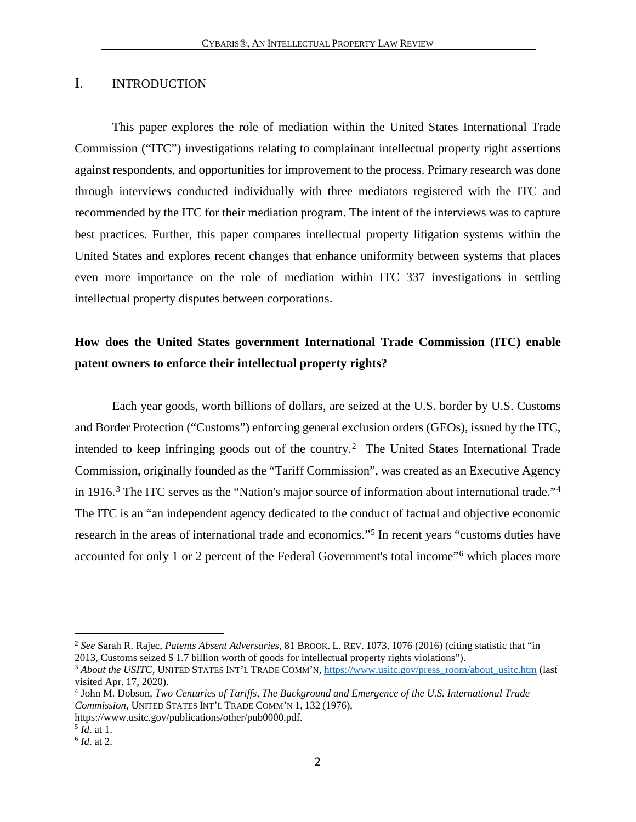#### <span id="page-2-0"></span>I. INTRODUCTION

This paper explores the role of mediation within the United States International Trade Commission ("ITC") investigations relating to complainant intellectual property right assertions against respondents, and opportunities for improvement to the process. Primary research was done through interviews conducted individually with three mediators registered with the ITC and recommended by the ITC for their mediation program. The intent of the interviews was to capture best practices. Further, this paper compares intellectual property litigation systems within the United States and explores recent changes that enhance uniformity between systems that places even more importance on the role of mediation within ITC 337 investigations in settling intellectual property disputes between corporations.

### <span id="page-2-1"></span>**How does the United States government International Trade Commission (ITC) enable patent owners to enforce their intellectual property rights?**

Each year goods, worth billions of dollars, are seized at the U.S. border by U.S. Customs and Border Protection ("Customs") enforcing general exclusion orders (GEOs), issued by the ITC, intended to keep infringing goods out of the country.[2](#page-2-2) The United States International Trade Commission, originally founded as the "Tariff Commission", was created as an Executive Agency in 1916.<sup>[3](#page-2-3)</sup> The ITC serves as the "Nation's major source of information about international trade."<sup>[4](#page-2-4)</sup> The ITC is an "an independent agency dedicated to the conduct of factual and objective economic research in the areas of international trade and economics."[5](#page-2-5) In recent years "customs duties have accounted for only 1 or 2 percent of the Federal Government's total income"[6](#page-2-6) which places more

<span id="page-2-2"></span><sup>2</sup> *See* Sarah R. Rajec, *Patents Absent Adversaries*, 81 BROOK. L. REV. 1073, 1076 (2016) (citing statistic that "in 2013, Customs seized \$ 1.7 billion worth of goods for intellectual property rights violations").

<span id="page-2-3"></span><sup>&</sup>lt;sup>3</sup> About the USITC, UNITED STATES INT'L TRADE COMM'N, [https://www.usitc.gov/press\\_room/about\\_usitc.htm](https://www.usitc.gov/press_room/about_usitc.htm) (last visited Apr. 17, 2020).

<span id="page-2-4"></span><sup>4</sup> John M. Dobson, *Two Centuries of Tariffs, The Background and Emergence of the U.S. International Trade Commission*, UNITED STATES INT'L TRADE COMM'N 1, 132 (1976),

https://www.usitc.gov/publications/other/pub0000.pdf.<br>5 Id. at 1.

<span id="page-2-5"></span>

<span id="page-2-6"></span><sup>&</sup>lt;sup>6</sup> *Id.* at 2.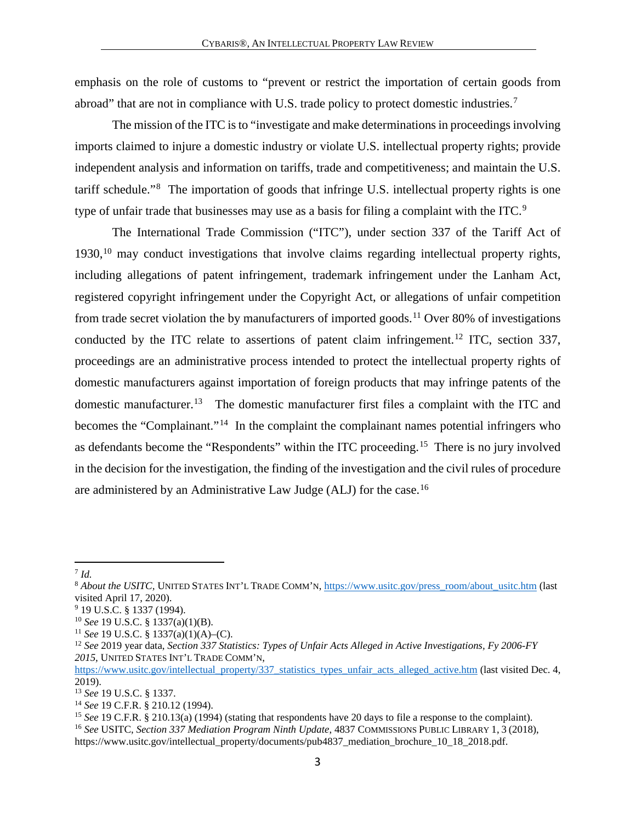emphasis on the role of customs to "prevent or restrict the importation of certain goods from abroad" that are not in compliance with U.S. trade policy to protect domestic industries.[7](#page-3-0)

The mission of the ITC is to "investigate and make determinations in proceedings involving imports claimed to injure a domestic industry or violate U.S. intellectual property rights; provide independent analysis and information on tariffs, trade and competitiveness; and maintain the U.S. tariff schedule."[8](#page-3-1) The importation of goods that infringe U.S. intellectual property rights is one type of unfair trade that businesses may use as a basis for filing a complaint with the ITC.<sup>[9](#page-3-2)</sup>

The International Trade Commission ("ITC"), under section 337 of the Tariff Act of 1930,<sup>[10](#page-3-3)</sup> may conduct investigations that involve claims regarding intellectual property rights, including allegations of patent infringement, trademark infringement under the Lanham Act, registered copyright infringement under the Copyright Act, or allegations of unfair competition from trade secret violation the by manufacturers of imported goods.<sup>11</sup> Over 80% of investigations conducted by the ITC relate to assertions of patent claim infringement.[12](#page-3-5) ITC, section 337, proceedings are an administrative process intended to protect the intellectual property rights of domestic manufacturers against importation of foreign products that may infringe patents of the domestic manufacturer.<sup>13</sup> The domestic manufacturer first files a complaint with the ITC and becomes the "Complainant."<sup>14</sup> In the complaint the complainant names potential infringers who as defendants become the "Respondents" within the ITC proceeding.[15](#page-3-8) There is no jury involved in the decision for the investigation, the finding of the investigation and the civil rules of procedure are administered by an Administrative Law Judge (ALJ) for the case.[16](#page-3-9)

 $\overline{a}$ 

<span id="page-3-1"></span><span id="page-3-0"></span><sup>&</sup>lt;sup>7</sup> *Id.*<br><sup>8</sup> *About the USITC*, UNITED STATES INT'L TRADE COMM'N, [https://www.usitc.gov/press\\_room/about\\_usitc.htm](https://www.usitc.gov/press_room/about_usitc.htm) (last visited April 17, 2020).

<sup>&</sup>lt;sup>9</sup> 19 U.S.C. § 1337 (1994).

<span id="page-3-5"></span>

<span id="page-3-4"></span><span id="page-3-3"></span><span id="page-3-2"></span><sup>&</sup>lt;sup>10</sup> *See* 19 U.S.C. § 1337(a)(1)(B).<br><sup>11</sup> *See* 19 U.S.C. § 1337(a)(1)(A)–(C).<br><sup>12</sup> *See* 2019 year data, *Section 337 Statistics: Types of Unfair Acts Alleged in Active Investigations, Fy 2006-FY 2015,* UNITED STATES INT'L TRADE COMM'N,

[https://www.usitc.gov/intellectual\\_property/337\\_statistics\\_types\\_unfair\\_acts\\_alleged\\_active.htm](https://www.usitc.gov/intellectual_property/337_statistics_types_unfair_acts_alleged_active.htm) (last visited Dec. 4, 2019).<br><sup>13</sup> See 19 U.S.C. § 1337.

<span id="page-3-6"></span>

<span id="page-3-7"></span><sup>&</sup>lt;sup>14</sup> See 19 C.F.R. § 210.12 (1994).<br><sup>15</sup> See 19 C.F.R. § 210.13(a) (1994) (stating that respondents have 20 days to file a response to the complaint).<br><sup>16</sup> See USITC, Section 337 Mediation Program Ninth Update, 4837 COMMI

<span id="page-3-9"></span><span id="page-3-8"></span>https://www.usitc.gov/intellectual\_property/documents/pub4837\_mediation\_brochure\_10\_18\_2018.pdf.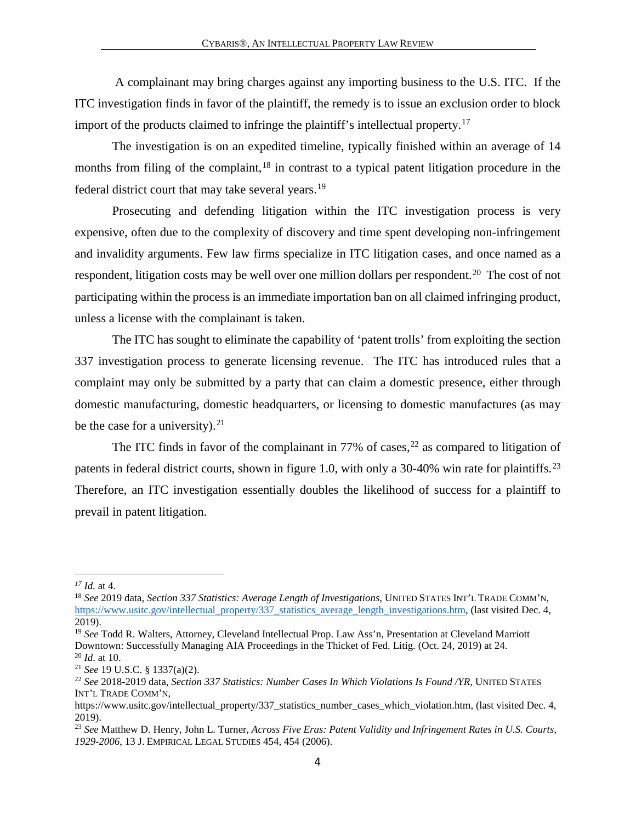A complainant may bring charges against any importing business to the U.S. ITC. If the ITC investigation finds in favor of the plaintiff, the remedy is to issue an exclusion order to block import of the products claimed to infringe the plaintiff's intellectual property.[17](#page-4-0)

The investigation is on an expedited timeline, typically finished within an average of 14 months from filing of the complaint,  $18$  in contrast to a typical patent litigation procedure in the federal district court that may take several years.<sup>[19](#page-4-2)</sup>

Prosecuting and defending litigation within the ITC investigation process is very expensive, often due to the complexity of discovery and time spent developing non-infringement and invalidity arguments. Few law firms specialize in ITC litigation cases, and once named as a respondent, litigation costs may be well over one million dollars per respondent.<sup>[20](#page-4-3)</sup> The cost of not participating within the process is an immediate importation ban on all claimed infringing product, unless a license with the complainant is taken.

The ITC has sought to eliminate the capability of 'patent trolls' from exploiting the section 337 investigation process to generate licensing revenue. The ITC has introduced rules that a complaint may only be submitted by a party that can claim a domestic presence, either through domestic manufacturing, domestic headquarters, or licensing to domestic manufactures (as may be the case for a university).  $21$ 

The ITC finds in favor of the complainant in 77% of cases,  $22$  as compared to litigation of patents in federal district courts, shown in figure 1.0, with only a 30-40% win rate for plaintiffs.<sup>[23](#page-4-6)</sup> Therefore, an ITC investigation essentially doubles the likelihood of success for a plaintiff to prevail in patent litigation.

<span id="page-4-0"></span>*<sup>17</sup> Id.* at 4.

<span id="page-4-1"></span><sup>18</sup> *See* 2019 data, *Section 337 Statistics: Average Length of Investigations*, UNITED STATES INT'L TRADE COMM'N, [https://www.usitc.gov/intellectual\\_property/337\\_statistics\\_average\\_length\\_investigations.htm,](https://www.usitc.gov/intellectual_property/337_statistics_average_length_investigations.htm) (last visited Dec. 4, 2019).

<span id="page-4-2"></span><sup>&</sup>lt;sup>19</sup> See Todd R. Walters, Attorney, Cleveland Intellectual Prop. Law Ass'n, Presentation at Cleveland Marriott Downtown: Successfully Managing AIA Proceedings in the Thicket of Fed. Litig. (Oct. 24, 2019) at 24. <sup>20</sup> *Id.* at 10.

<span id="page-4-5"></span><span id="page-4-4"></span><span id="page-4-3"></span><sup>&</sup>lt;sup>21</sup> *See* 19 U.S.C. § 1337(a)(2).<br><sup>22</sup> *See* 2018-2019 data, *Section 337 Statistics: Number Cases In Which Violations Is Found /YR, UNITED STATES* INT'L TRADE COMM'N,

https://www.usitc.gov/intellectual\_property/337\_statistics\_number\_cases\_which\_violation.htm, (last visited Dec. 4, 2019).

<span id="page-4-6"></span><sup>23</sup> *See* Matthew D. Henry, John L. Turner, *Across Five Eras: Patent Validity and Infringement Rates in U.S. Courts, 1929-2006*, 13 J. EMPIRICAL LEGAL STUDIES 454, 454 (2006).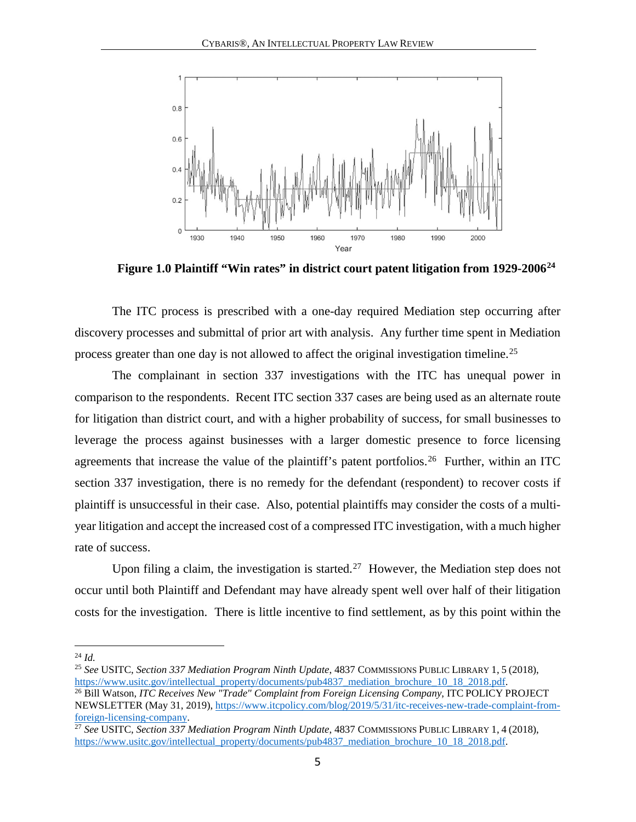

**Figure 1.0 Plaintiff "Win rates" in district court patent litigation from 1929-2006[24](#page-5-0)**

The ITC process is prescribed with a one-day required Mediation step occurring after discovery processes and submittal of prior art with analysis. Any further time spent in Mediation process greater than one day is not allowed to affect the original investigation timeline.[25](#page-5-1)

The complainant in section 337 investigations with the ITC has unequal power in comparison to the respondents. Recent ITC section 337 cases are being used as an alternate route for litigation than district court, and with a higher probability of success, for small businesses to leverage the process against businesses with a larger domestic presence to force licensing agreements that increase the value of the plaintiff's patent portfolios.<sup>[26](#page-5-2)</sup> Further, within an ITC section 337 investigation, there is no remedy for the defendant (respondent) to recover costs if plaintiff is unsuccessful in their case. Also, potential plaintiffs may consider the costs of a multiyear litigation and accept the increased cost of a compressed ITC investigation, with a much higher rate of success.

Upon filing a claim, the investigation is started.<sup>[27](#page-5-3)</sup> However, the Mediation step does not occur until both Plaintiff and Defendant may have already spent well over half of their litigation costs for the investigation. There is little incentive to find settlement, as by this point within the

<span id="page-5-0"></span> $^{24}$  *Id.* 

<span id="page-5-1"></span><sup>&</sup>lt;sup>25</sup> *See* USITC, *Section 337 Mediation Program Ninth Update*, 4837 COMMISSIONS PUBLIC LIBRARY 1, 5 (2018), https://www.usitc.gov/intellectual property/documents/pub4837 mediation brochure 10 18 2018.pdf.

<span id="page-5-2"></span><sup>&</sup>lt;sup>26</sup> Bill Watson, *ITC Receives New "Trade" Complaint from Foreign Licensing Company*, ITC POLICY PROJECT NEWSLETTER (May 31, 2019), [https://www.itcpolicy.com/blog/2019/5/31/itc-receives-new-trade-complaint-from](https://www.itcpolicy.com/blog/2019/5/31/itc-receives-new-trade-complaint-from-foreign-licensing-company)[foreign-licensing-company.](https://www.itcpolicy.com/blog/2019/5/31/itc-receives-new-trade-complaint-from-foreign-licensing-company) 27 *See* USITC, *Section 337 Mediation Program Ninth Update*, 4837 COMMISSIONS PUBLIC LIBRARY 1, <sup>4</sup> (2018),

<span id="page-5-3"></span>[https://www.usitc.gov/intellectual\\_property/documents/pub4837\\_mediation\\_brochure\\_10\\_18\\_2018.pdf.](https://www.usitc.gov/intellectual_property/documents/pub4837_mediation_brochure_10_18_2018.pdf)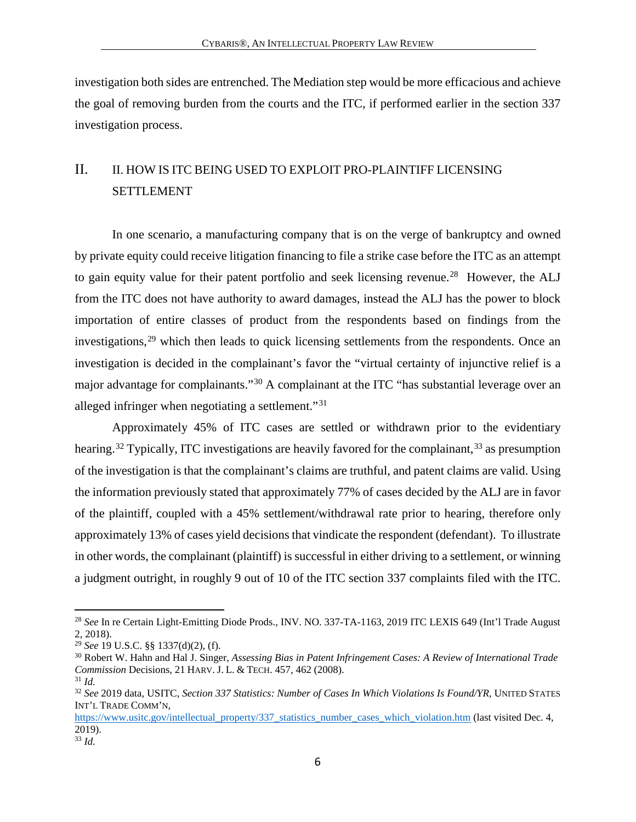investigation both sides are entrenched. The Mediation step would be more efficacious and achieve the goal of removing burden from the courts and the ITC, if performed earlier in the section 337 investigation process.

# <span id="page-6-0"></span>II. II. HOW IS ITC BEING USED TO EXPLOIT PRO-PLAINTIFF LICENSING SETTLEMENT

In one scenario, a manufacturing company that is on the verge of bankruptcy and owned by private equity could receive litigation financing to file a strike case before the ITC as an attempt to gain equity value for their patent portfolio and seek licensing revenue.<sup>[28](#page-6-1)</sup> However, the ALJ from the ITC does not have authority to award damages, instead the ALJ has the power to block importation of entire classes of product from the respondents based on findings from the investigations,<sup>[29](#page-6-2)</sup> which then leads to quick licensing settlements from the respondents. Once an investigation is decided in the complainant's favor the "virtual certainty of injunctive relief is a major advantage for complainants."[30](#page-6-3) A complainant at the ITC "has substantial leverage over an alleged infringer when negotiating a settlement."[31](#page-6-4)

Approximately 45% of ITC cases are settled or withdrawn prior to the evidentiary hearing.<sup>[32](#page-6-5)</sup> Typically, ITC investigations are heavily favored for the complainant,<sup>[33](#page-6-6)</sup> as presumption of the investigation is that the complainant's claims are truthful, and patent claims are valid. Using the information previously stated that approximately 77% of cases decided by the ALJ are in favor of the plaintiff, coupled with a 45% settlement/withdrawal rate prior to hearing, therefore only approximately 13% of cases yield decisions that vindicate the respondent (defendant). To illustrate in other words, the complainant (plaintiff) is successful in either driving to a settlement, or winning a judgment outright, in roughly 9 out of 10 of the ITC section 337 complaints filed with the ITC.

<span id="page-6-1"></span><sup>28</sup> *See* In re Certain Light-Emitting Diode Prods., INV. NO. 337-TA-1163, 2019 ITC LEXIS 649 (Int'l Trade August 2, 2018).<br><sup>29</sup> See 19 U.S.C. §§ 1337(d)(2), (f).

<span id="page-6-3"></span><span id="page-6-2"></span><sup>&</sup>lt;sup>30</sup> Robert W. Hahn and Hal J. Singer, *Assessing Bias in Patent Infringement Cases: A Review of International Trade Commission Decisions, 21 HARV. J. L. & TECH. 457, 462 (2008).* <sup>31</sup> *Id.* 

<span id="page-6-5"></span><span id="page-6-4"></span><sup>32</sup> *See* 2019 data, USITC, *Section 337 Statistics: Number of Cases In Which Violations Is Found/YR,* UNITED STATES INT'L TRADE COMM'N,

[https://www.usitc.gov/intellectual\\_property/337\\_statistics\\_number\\_cases\\_which\\_violation.htm \(](https://www.usitc.gov/intellectual_property/337_statistics_number_cases_which_violation.htm)last visited Dec. 4, 2019).

<span id="page-6-6"></span><sup>33</sup> *Id.*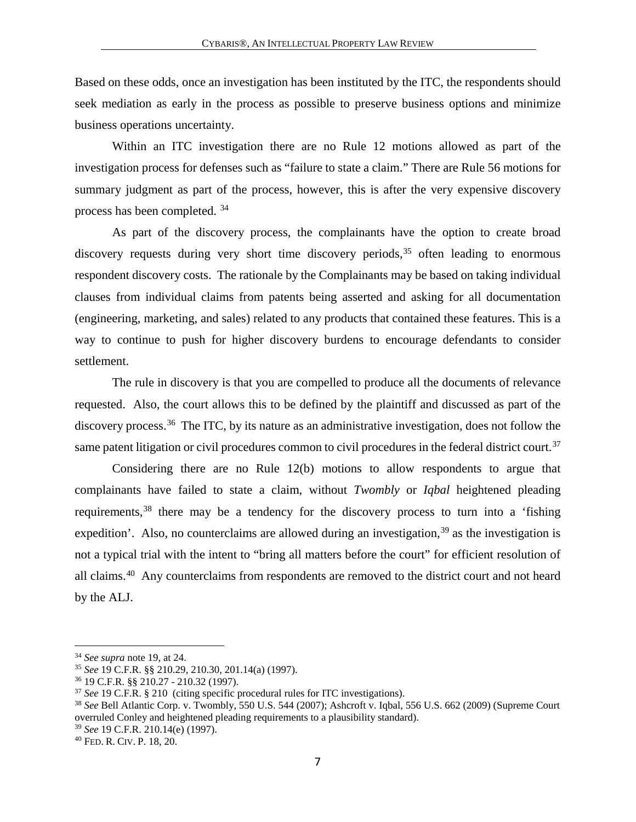Based on these odds, once an investigation has been instituted by the ITC, the respondents should seek mediation as early in the process as possible to preserve business options and minimize business operations uncertainty.

Within an ITC investigation there are no Rule 12 motions allowed as part of the investigation process for defenses such as "failure to state a claim." There are Rule 56 motions for summary judgment as part of the process, however, this is after the very expensive discovery process has been completed. [34](#page-7-0)

As part of the discovery process, the complainants have the option to create broad discovery requests during very short time discovery periods,<sup>[35](#page-7-1)</sup> often leading to enormous respondent discovery costs. The rationale by the Complainants may be based on taking individual clauses from individual claims from patents being asserted and asking for all documentation (engineering, marketing, and sales) related to any products that contained these features. This is a way to continue to push for higher discovery burdens to encourage defendants to consider settlement.

The rule in discovery is that you are compelled to produce all the documents of relevance requested. Also, the court allows this to be defined by the plaintiff and discussed as part of the discovery process.<sup>36</sup> The ITC, by its nature as an administrative investigation, does not follow the same patent litigation or civil procedures common to civil procedures in the federal district court.<sup>[37](#page-7-3)</sup>

Considering there are no Rule 12(b) motions to allow respondents to argue that complainants have failed to state a claim, without *Twombly* or *Iqbal* heightened pleading requirements,<sup>[38](#page-7-4)</sup> there may be a tendency for the discovery process to turn into a 'fishing expedition'. Also, no counterclaims are allowed during an investigation,  $39$  as the investigation is not a typical trial with the intent to "bring all matters before the court" for efficient resolution of all claims.[40](#page-7-6) Any counterclaims from respondents are removed to the district court and not heard by the ALJ.

<span id="page-7-2"></span><span id="page-7-1"></span>

<span id="page-7-4"></span><span id="page-7-3"></span>

<span id="page-7-0"></span><sup>&</sup>lt;sup>34</sup> See supra note 19, at 24.<br>
<sup>35</sup> See 19 C.F.R. §§ 210.29, 210.30, 201.14(a) (1997).<br>
<sup>36</sup> 19 C.F.R. §§ 210.27 - 210.32 (1997).<br>
<sup>37</sup> See 19 C.F.R. § 210 (citing specific procedural rules for ITC investigations).<br>
<sup>38</sup> overruled Conley and heightened pleading requirements to a plausibility standard).

<span id="page-7-6"></span><span id="page-7-5"></span><sup>39</sup> *See* 19 C.F.R. 210.14(e) (1997). 40 FED. R. CIV. P. 18, 20.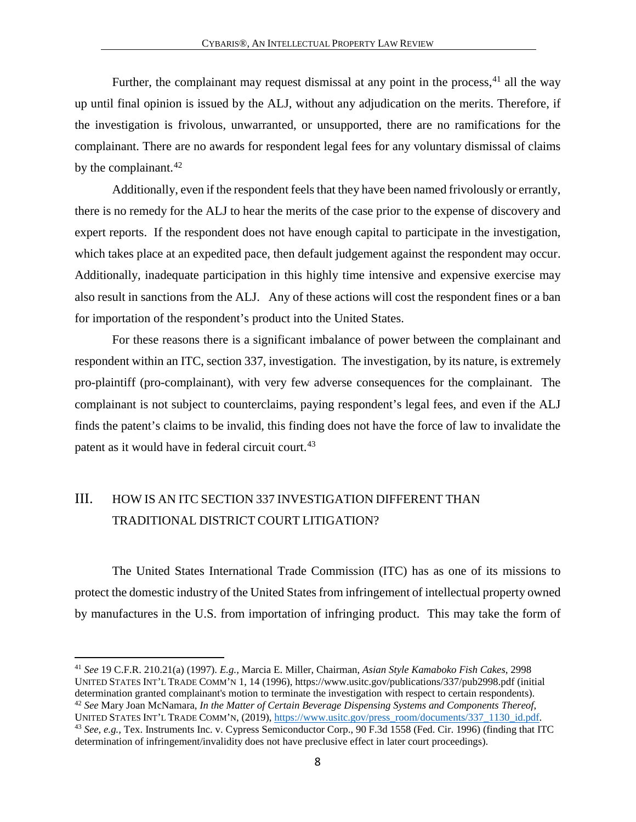Further, the complainant may request dismissal at any point in the process,  $41$  all the way up until final opinion is issued by the ALJ, without any adjudication on the merits. Therefore, if the investigation is frivolous, unwarranted, or unsupported, there are no ramifications for the complainant. There are no awards for respondent legal fees for any voluntary dismissal of claims by the complainant. $42$ 

Additionally, even if the respondent feels that they have been named frivolously or errantly, there is no remedy for the ALJ to hear the merits of the case prior to the expense of discovery and expert reports. If the respondent does not have enough capital to participate in the investigation, which takes place at an expedited pace, then default judgement against the respondent may occur. Additionally, inadequate participation in this highly time intensive and expensive exercise may also result in sanctions from the ALJ. Any of these actions will cost the respondent fines or a ban for importation of the respondent's product into the United States.

For these reasons there is a significant imbalance of power between the complainant and respondent within an ITC, section 337, investigation. The investigation, by its nature, is extremely pro-plaintiff (pro-complainant), with very few adverse consequences for the complainant. The complainant is not subject to counterclaims, paying respondent's legal fees, and even if the ALJ finds the patent's claims to be invalid, this finding does not have the force of law to invalidate the patent as it would have in federal circuit court.<sup>[43](#page-8-3)</sup>

### <span id="page-8-0"></span>III. HOW IS AN ITC SECTION 337 INVESTIGATION DIFFERENT THAN TRADITIONAL DISTRICT COURT LITIGATION?

 $\overline{a}$ 

The United States International Trade Commission (ITC) has as one of its missions to protect the domestic industry of the United States from infringement of intellectual property owned by manufactures in the U.S. from importation of infringing product. This may take the form of

<span id="page-8-3"></span><span id="page-8-2"></span><span id="page-8-1"></span><sup>41</sup> *See* 19 C.F.R. 210.21(a) (1997). *E.g.,* Marcia E. Miller, Chairman, *Asian Style Kamaboko Fish Cakes*, 2998 UNITED STATES INT'L TRADE COMM'N 1, 14 (1996), https://www.usitc.gov/publications/337/pub2998.pdf (initial determination granted complainant's motion to terminate the investigation with respect to certain respondents). <sup>42</sup> *See* Mary Joan McNamara, *In the Matter of Certain Beverage Dispensing Systems and Components Thereof*, UNITED STATES INT'L TRADE COMM'N, (2019), https://www.usitc.gov/press\_room/documents/337\_1130\_id.pdf. <sup>43</sup> See, e.g., Tex. Instruments Inc. v. Cypress Semiconductor Corp., 90 F.3d 1558 (Fed. Cir. 1996) (finding that ITC determination of infringement/invalidity does not have preclusive effect in later court proceedings).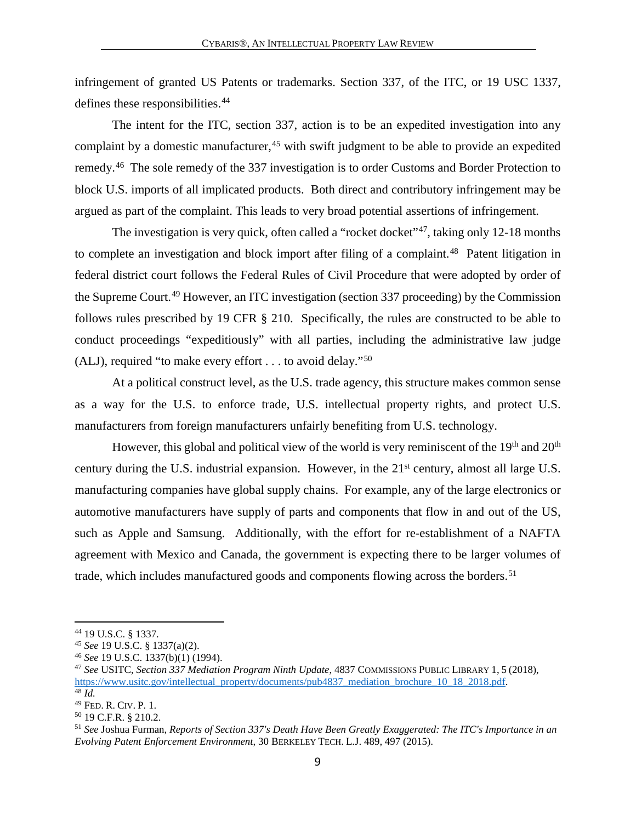infringement of granted US Patents or trademarks. Section 337, of the ITC, or 19 USC 1337, defines these responsibilities.<sup>[44](#page-9-0)</sup>

The intent for the ITC, section 337, action is to be an expedited investigation into any complaint by a domestic manufacturer,  $45$  with swift judgment to be able to provide an expedited remedy.[46](#page-9-2) The sole remedy of the 337 investigation is to order Customs and Border Protection to block U.S. imports of all implicated products. Both direct and contributory infringement may be argued as part of the complaint. This leads to very broad potential assertions of infringement.

The investigation is very quick, often called a "rocket docket"<sup>47</sup>, taking only 12-18 months to complete an investigation and block import after filing of a complaint.<sup>[48](#page-9-4)</sup> Patent litigation in federal district court follows the Federal Rules of Civil Procedure that were adopted by order of the Supreme Court.<sup>[49](#page-9-5)</sup> However, an ITC investigation (section 337 proceeding) by the Commission follows rules prescribed by 19 CFR § 210. Specifically, the rules are constructed to be able to conduct proceedings "expeditiously" with all parties, including the administrative law judge (ALJ), required "to make every effort  $\dots$  to avoid delay."<sup>[50](#page-9-6)</sup>

At a political construct level, as the U.S. trade agency, this structure makes common sense as a way for the U.S. to enforce trade, U.S. intellectual property rights, and protect U.S. manufacturers from foreign manufacturers unfairly benefiting from U.S. technology.

However, this global and political view of the world is very reminiscent of the  $19<sup>th</sup>$  and  $20<sup>th</sup>$ century during the U.S. industrial expansion. However, in the  $21<sup>st</sup>$  century, almost all large U.S. manufacturing companies have global supply chains. For example, any of the large electronics or automotive manufacturers have supply of parts and components that flow in and out of the US, such as Apple and Samsung. Additionally, with the effort for re-establishment of a NAFTA agreement with Mexico and Canada, the government is expecting there to be larger volumes of trade, which includes manufactured goods and components flowing across the borders.<sup>[51](#page-9-7)</sup>

<span id="page-9-1"></span><span id="page-9-0"></span><sup>44</sup> 19 U.S.C. § 1337. 45 *See* 19 U.S.C. § 1337(a)(2). 46 *See* 19 U.S.C. 1337(b)(1) (1994).

<span id="page-9-3"></span><span id="page-9-2"></span><sup>47</sup> *See* USITC, *Section 337 Mediation Program Ninth Update*, 4837 COMMISSIONS PUBLIC LIBRARY 1, 5 (2018), [https://www.usitc.gov/intellectual\\_property/documents/pub4837\\_mediation\\_brochure\\_10\\_18\\_2018.pdf.](https://www.usitc.gov/intellectual_property/documents/pub4837_mediation_brochure_10_18_2018.pdf)

<span id="page-9-4"></span><sup>&</sup>lt;sup>48</sup> *Id.* <sup>49</sup> Fed. R. Civ. P. 1.

<span id="page-9-7"></span><span id="page-9-6"></span><span id="page-9-5"></span><sup>&</sup>lt;sup>50</sup> 19 C.F.R. § 210.2.<br><sup>51</sup> See Joshua Furman, *Reports of Section 337's Death Have Been Greatly Exaggerated: The ITC's Importance in an Evolving Patent Enforcement Environment*, 30 BERKELEY TECH. L.J. 489, 497 (2015).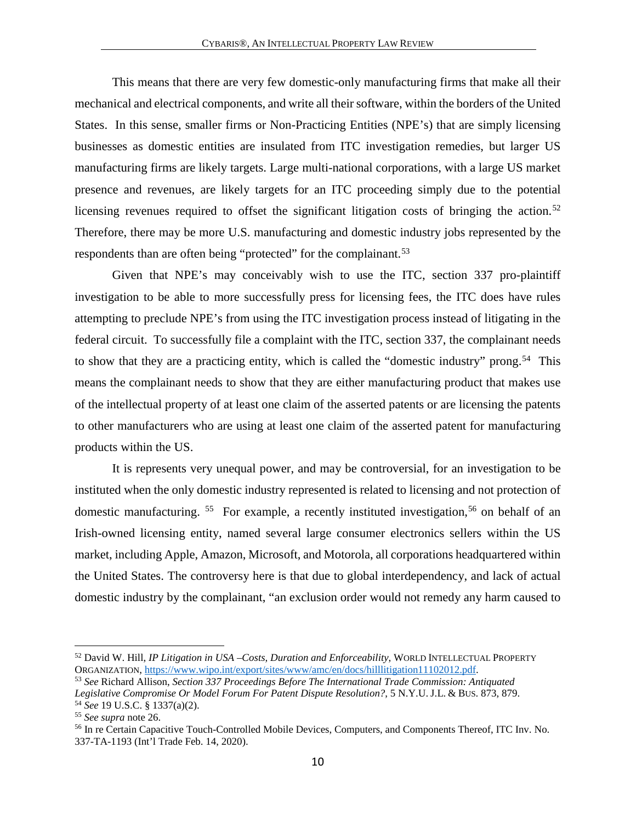This means that there are very few domestic-only manufacturing firms that make all their mechanical and electrical components, and write all their software, within the borders of the United States. In this sense, smaller firms or Non-Practicing Entities (NPE's) that are simply licensing businesses as domestic entities are insulated from ITC investigation remedies, but larger US manufacturing firms are likely targets. Large multi-national corporations, with a large US market presence and revenues, are likely targets for an ITC proceeding simply due to the potential licensing revenues required to offset the significant litigation costs of bringing the action.<sup>[52](#page-10-0)</sup> Therefore, there may be more U.S. manufacturing and domestic industry jobs represented by the respondents than are often being "protected" for the complainant.<sup>[53](#page-10-1)</sup>

Given that NPE's may conceivably wish to use the ITC, section 337 pro-plaintiff investigation to be able to more successfully press for licensing fees, the ITC does have rules attempting to preclude NPE's from using the ITC investigation process instead of litigating in the federal circuit. To successfully file a complaint with the ITC, section 337, the complainant needs to show that they are a practicing entity, which is called the "domestic industry" prong.<sup>54</sup> This means the complainant needs to show that they are either manufacturing product that makes use of the intellectual property of at least one claim of the asserted patents or are licensing the patents to other manufacturers who are using at least one claim of the asserted patent for manufacturing products within the US.

It is represents very unequal power, and may be controversial, for an investigation to be instituted when the only domestic industry represented is related to licensing and not protection of domestic manufacturing.  $55$  For example, a recently instituted investigation,  $56$  on behalf of an Irish-owned licensing entity, named several large consumer electronics sellers within the US market, including Apple, Amazon, Microsoft, and Motorola, all corporations headquartered within the United States. The controversy here is that due to global interdependency, and lack of actual domestic industry by the complainant, "an exclusion order would not remedy any harm caused to

<span id="page-10-0"></span><sup>&</sup>lt;sup>52</sup> David W. Hill, *IP Litigation in USA –Costs, Duration and Enforceability*, WORLD INTELLECTUAL PROPERTY ORGANIZATION, https://www.wipo.int/export/sites/www/amc/en/docs/hilllitigation11102012.pdf.

<span id="page-10-1"></span><sup>&</sup>lt;sup>53</sup> See Richard Allison, Section 337 Proceedings Before The International Trade Commission: Antiquated *Legislative Compromise Or Model Forum For Patent Dispute Resolution?*, 5 N.Y.U. J.L. & BUS. 873, 879. 54 *See* 19 U.S.C. § 1337(a)(2).

<span id="page-10-3"></span><span id="page-10-2"></span><sup>55</sup> *See supra* note 26.

<span id="page-10-4"></span><sup>56</sup> In re Certain Capacitive Touch-Controlled Mobile Devices, Computers, and Components Thereof, ITC Inv. No. 337-TA-1193 (Int'l Trade Feb. 14, 2020).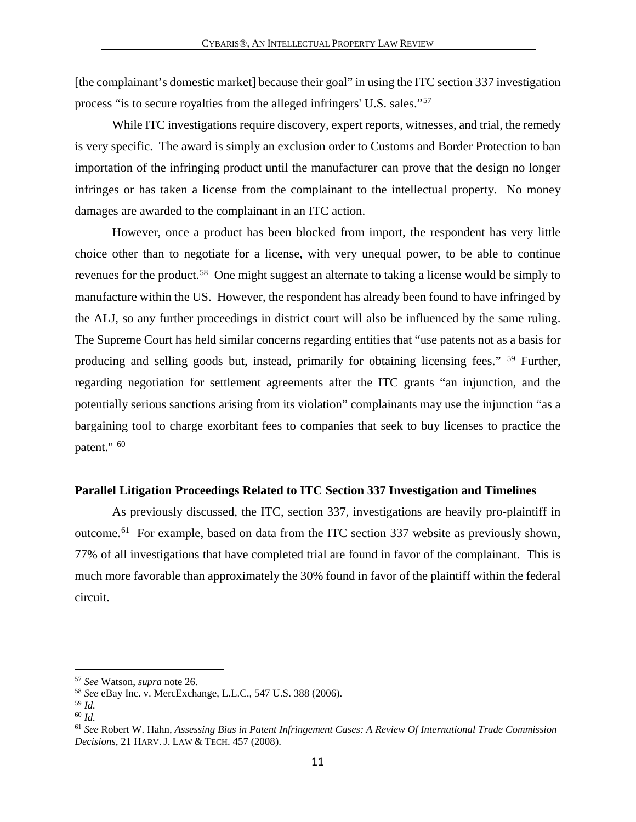[the complainant's domestic market] because their goal" in using the ITC section 337 investigation process "is to secure royalties from the alleged infringers' U.S. sales."[57](#page-11-1)

While ITC investigations require discovery, expert reports, witnesses, and trial, the remedy is very specific. The award is simply an exclusion order to Customs and Border Protection to ban importation of the infringing product until the manufacturer can prove that the design no longer infringes or has taken a license from the complainant to the intellectual property. No money damages are awarded to the complainant in an ITC action.

 However, once a product has been blocked from import, the respondent has very little choice other than to negotiate for a license, with very unequal power, to be able to continue revenues for the product.<sup>[58](#page-11-2)</sup> One might suggest an alternate to taking a license would be simply to manufacture within the US. However, the respondent has already been found to have infringed by the ALJ, so any further proceedings in district court will also be influenced by the same ruling. The Supreme Court has held similar concerns regarding entities that "use patents not as a basis for producing and selling goods but, instead, primarily for obtaining licensing fees." [59](#page-11-3) Further, regarding negotiation for settlement agreements after the ITC grants "an injunction, and the potentially serious sanctions arising from its violation" complainants may use the injunction "as a bargaining tool to charge exorbitant fees to companies that seek to buy licenses to practice the patent." <sup>[60](#page-11-4)</sup>

#### <span id="page-11-0"></span>**Parallel Litigation Proceedings Related to ITC Section 337 Investigation and Timelines**

As previously discussed, the ITC, section 337, investigations are heavily pro-plaintiff in outcome.[61](#page-11-5) For example, based on data from the ITC section 337 website as previously shown, 77% of all investigations that have completed trial are found in favor of the complainant. This is much more favorable than approximately the 30% found in favor of the plaintiff within the federal circuit.

<span id="page-11-2"></span><span id="page-11-1"></span><sup>57</sup> *See* Watson, *supra* note 26. 58 *See* eBay Inc. v. MercExchange, L.L.C.*,* 547 U.S. 388 (2006).

<span id="page-11-3"></span>

<span id="page-11-4"></span><sup>59</sup> *Id.* 60 *Id.* 

<span id="page-11-5"></span><sup>61</sup> *See* Robert W. Hahn, *Assessing Bias in Patent Infringement Cases: A Review Of International Trade Commission Decisions*, 21 HARV. J. LAW & TECH. 457 (2008).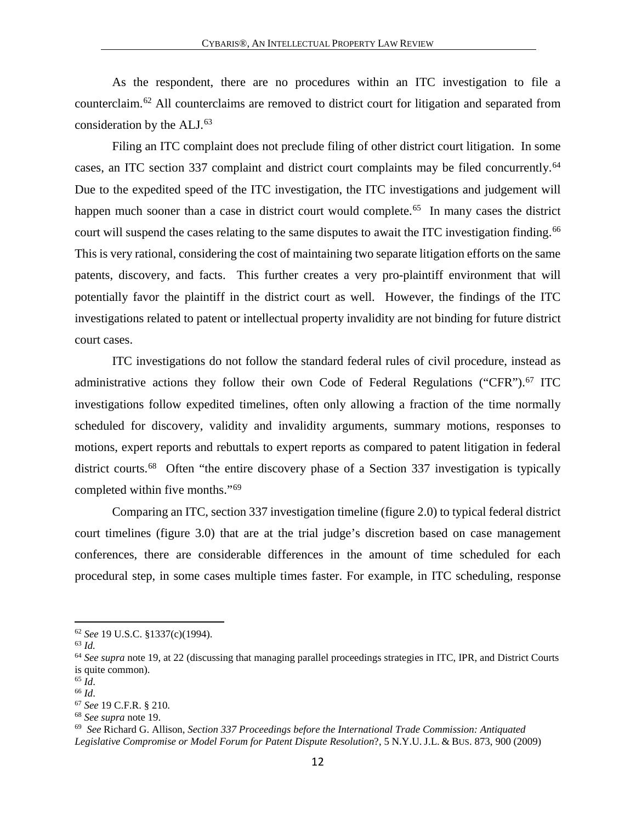As the respondent, there are no procedures within an ITC investigation to file a counterclaim.[62](#page-12-0) All counterclaims are removed to district court for litigation and separated from consideration by the ALJ.[63](#page-12-1)

Filing an ITC complaint does not preclude filing of other district court litigation. In some cases, an ITC section 337 complaint and district court complaints may be filed concurrently.[64](#page-12-2) Due to the expedited speed of the ITC investigation, the ITC investigations and judgement will happen much sooner than a case in district court would complete.<sup>65</sup> In many cases the district court will suspend the cases relating to the same disputes to await the ITC investigation finding. [66](#page-12-4) This is very rational, considering the cost of maintaining two separate litigation efforts on the same patents, discovery, and facts. This further creates a very pro-plaintiff environment that will potentially favor the plaintiff in the district court as well. However, the findings of the ITC investigations related to patent or intellectual property invalidity are not binding for future district court cases.

ITC investigations do not follow the standard federal rules of civil procedure, instead as administrative actions they follow their own Code of Federal Regulations ("CFR").<sup>[67](#page-12-5)</sup> ITC investigations follow expedited timelines, often only allowing a fraction of the time normally scheduled for discovery, validity and invalidity arguments, summary motions, responses to motions, expert reports and rebuttals to expert reports as compared to patent litigation in federal district courts.<sup>68</sup> Often "the entire discovery phase of a Section 337 investigation is typically completed within five months."[69](#page-12-7)

Comparing an ITC, section 337 investigation timeline (figure 2.0) to typical federal district court timelines (figure 3.0) that are at the trial judge's discretion based on case management conferences, there are considerable differences in the amount of time scheduled for each procedural step, in some cases multiple times faster. For example, in ITC scheduling, response

 $\overline{a}$ 

<span id="page-12-3"></span><sup>65</sup> *Id*.

<span id="page-12-0"></span><sup>62</sup> *See* 19 U.S.C. §1337(c)(1994).

<span id="page-12-1"></span><sup>63</sup> *Id.*

<span id="page-12-2"></span><sup>64</sup> *See supra* note 19, at 22 (discussing that managing parallel proceedings strategies in ITC, IPR, and District Courts is quite common).

<span id="page-12-4"></span><sup>66</sup> *Id*.

<span id="page-12-5"></span><sup>67</sup> *See* 19 C.F.R. § 210.

<span id="page-12-6"></span><sup>68</sup> *See supra* note 19.

<span id="page-12-7"></span><sup>69</sup> *See* Richard G. Allison, *Section 337 Proceedings before the International Trade Commission: Antiquated Legislative Compromise or Model Forum for Patent Dispute Resolution*?, 5 N.Y.U. J.L. & BUS. 873, 900 (2009)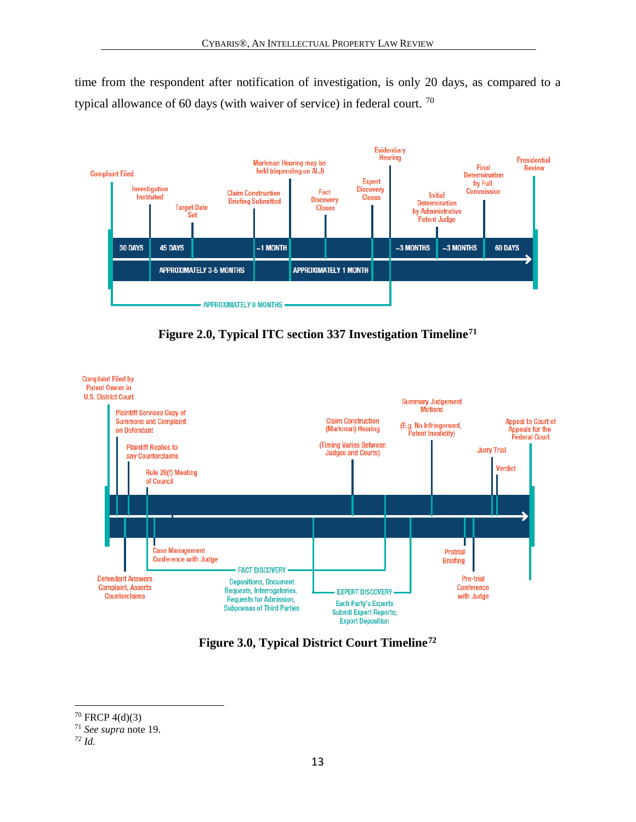time from the respondent after notification of investigation, is only 20 days, as compared to a typical allowance of 60 days (with waiver of service) in federal court. [70](#page-13-0)



**Figure 2.0, Typical ITC section 337 Investigation Timeline[71](#page-13-1)**



**Figure 3.0, Typical District Court Timeline[72](#page-13-2)**

<span id="page-13-0"></span> $70$  FRCP 4(d)(3)

<span id="page-13-1"></span><sup>71</sup> *See supra* note 19.

<span id="page-13-2"></span>*<sup>72</sup> Id.*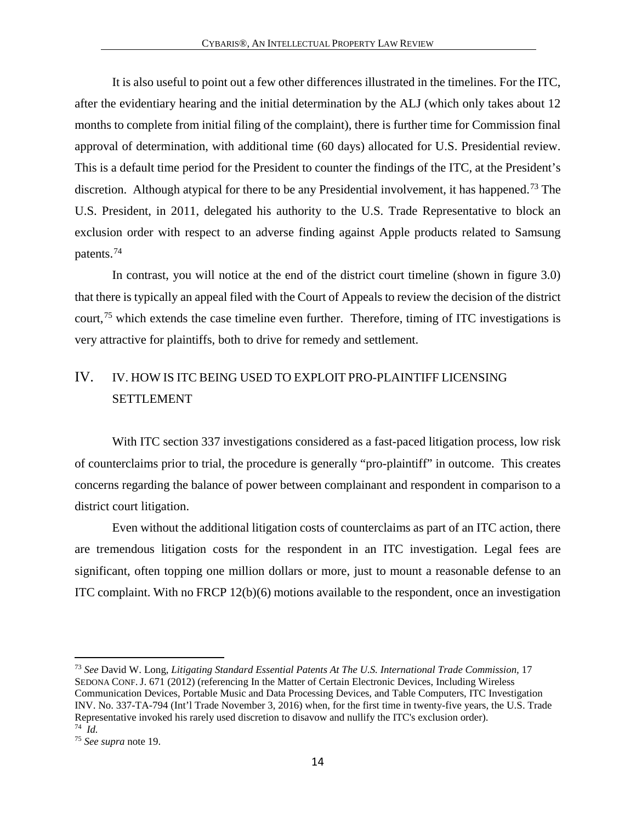It is also useful to point out a few other differences illustrated in the timelines. For the ITC, after the evidentiary hearing and the initial determination by the ALJ (which only takes about 12 months to complete from initial filing of the complaint), there is further time for Commission final approval of determination, with additional time (60 days) allocated for U.S. Presidential review. This is a default time period for the President to counter the findings of the ITC, at the President's discretion. Although atypical for there to be any Presidential involvement, it has happened.<sup>73</sup> The U.S. President, in 2011, delegated his authority to the U.S. Trade Representative to block an exclusion order with respect to an adverse finding against Apple products related to Samsung patents.[74](#page-14-2) 

In contrast, you will notice at the end of the district court timeline (shown in figure 3.0) that there is typically an appeal filed with the Court of Appeals to review the decision of the district court,[75](#page-14-3) which extends the case timeline even further. Therefore, timing of ITC investigations is very attractive for plaintiffs, both to drive for remedy and settlement.

### <span id="page-14-0"></span>IV. IV. HOW IS ITC BEING USED TO EXPLOIT PRO-PLAINTIFF LICENSING SETTLEMENT

With ITC section 337 investigations considered as a fast-paced litigation process, low risk of counterclaims prior to trial, the procedure is generally "pro-plaintiff" in outcome. This creates concerns regarding the balance of power between complainant and respondent in comparison to a district court litigation.

Even without the additional litigation costs of counterclaims as part of an ITC action, there are tremendous litigation costs for the respondent in an ITC investigation. Legal fees are significant, often topping one million dollars or more, just to mount a reasonable defense to an ITC complaint. With no FRCP 12(b)(6) motions available to the respondent, once an investigation

<span id="page-14-1"></span><sup>73</sup> *See* David W. Long, *Litigating Standard Essential Patents At The U.S. International Trade Commission,* 17 SEDONA CONF.J. 671 (2012) (referencing In the Matter of Certain Electronic Devices, Including Wireless Communication Devices, Portable Music and Data Processing Devices, and Table Computers, ITC Investigation INV. No. 337-TA-794 (Int'l Trade November 3, 2016) when, for the first time in twenty-five years, the U.S. Trade Representative invoked his rarely used discretion to disavow and nullify the ITC's exclusion order).<br><sup>74</sup> *Id.* 

<span id="page-14-3"></span><span id="page-14-2"></span><sup>74</sup>*Id.* 75 *See supra* note 19.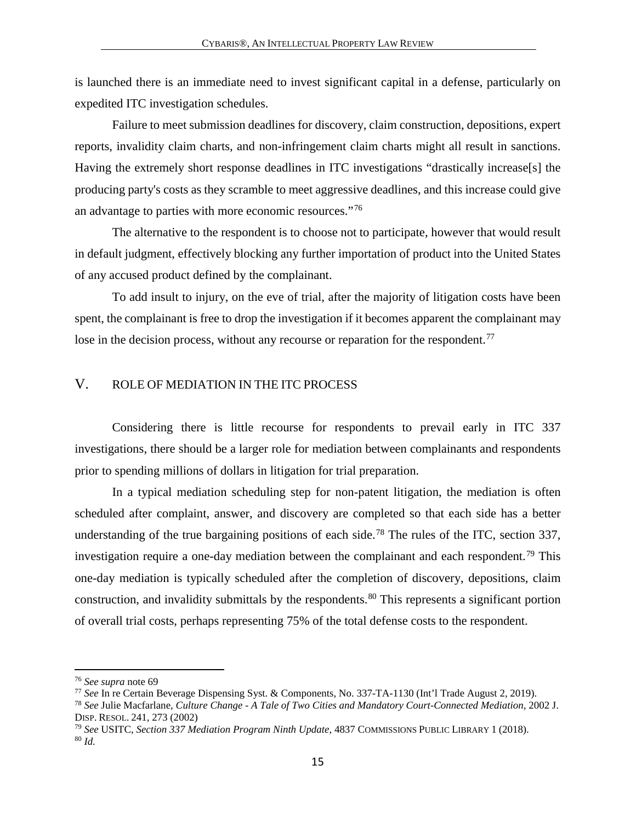is launched there is an immediate need to invest significant capital in a defense, particularly on expedited ITC investigation schedules.

Failure to meet submission deadlines for discovery, claim construction, depositions, expert reports, invalidity claim charts, and non-infringement claim charts might all result in sanctions. Having the extremely short response deadlines in ITC investigations "drastically increase[s] the producing party's costs as they scramble to meet aggressive deadlines, and this increase could give an advantage to parties with more economic resources."[76](#page-15-1)

The alternative to the respondent is to choose not to participate, however that would result in default judgment, effectively blocking any further importation of product into the United States of any accused product defined by the complainant.

To add insult to injury, on the eve of trial, after the majority of litigation costs have been spent, the complainant is free to drop the investigation if it becomes apparent the complainant may lose in the decision process, without any recourse or reparation for the respondent.<sup>[77](#page-15-2)</sup>

#### <span id="page-15-0"></span>V. ROLE OF MEDIATION IN THE ITC PROCESS

Considering there is little recourse for respondents to prevail early in ITC 337 investigations, there should be a larger role for mediation between complainants and respondents prior to spending millions of dollars in litigation for trial preparation.

In a typical mediation scheduling step for non-patent litigation, the mediation is often scheduled after complaint, answer, and discovery are completed so that each side has a better understanding of the true bargaining positions of each side.<sup>[78](#page-15-3)</sup> The rules of the ITC, section 337, investigation require a one-day mediation between the complainant and each respondent.<sup>[79](#page-15-4)</sup> This one-day mediation is typically scheduled after the completion of discovery, depositions, claim construction, and invalidity submittals by the respondents.<sup>[80](#page-15-5)</sup> This represents a significant portion of overall trial costs, perhaps representing 75% of the total defense costs to the respondent.

<span id="page-15-2"></span><span id="page-15-1"></span><sup>&</sup>lt;sup>76</sup> See supra note 69<br><sup>77</sup> See In re Certain Beverage Dispensing Syst. & Components, No. 337-TA-1130 (Int'l Trade August 2, 2019).

<span id="page-15-3"></span><sup>&</sup>lt;sup>78</sup> See Julie Macfarlane, *Culture Change - A Tale of Two Cities and Mandatory Court-Connected Mediation*, 2002 J.<br>DISP. RESOL. 241, 273 (2002)

<span id="page-15-5"></span><span id="page-15-4"></span><sup>&</sup>lt;sup>79</sup> *See* USITC, *Section 337 Mediation Program Ninth Update*, 4837 COMMISSIONS PUBLIC LIBRARY 1 (2018). <sup>80</sup> *Id.*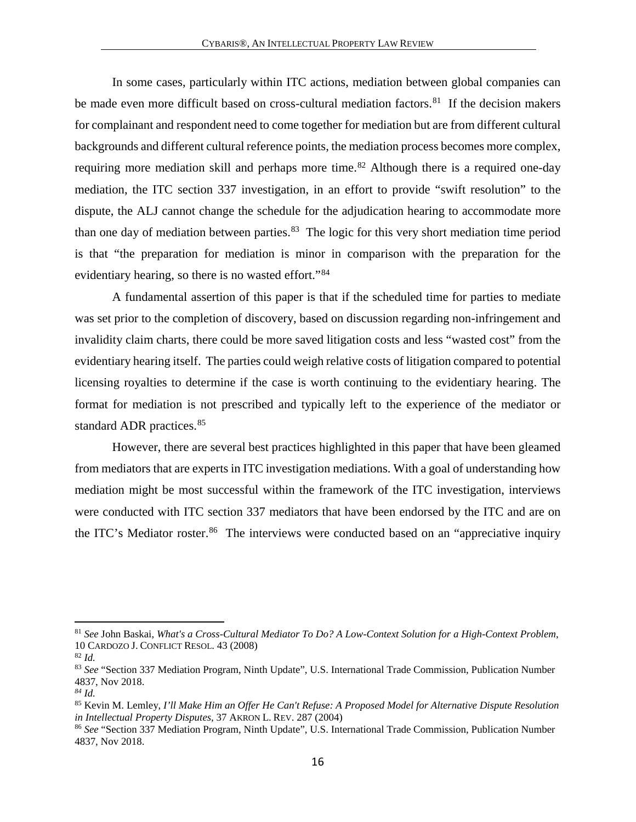In some cases, particularly within ITC actions, mediation between global companies can be made even more difficult based on cross-cultural mediation factors.<sup>81</sup> If the decision makers for complainant and respondent need to come together for mediation but are from different cultural backgrounds and different cultural reference points, the mediation process becomes more complex, requiring more mediation skill and perhaps more time.<sup>[82](#page-16-1)</sup> Although there is a required one-day mediation, the ITC section 337 investigation, in an effort to provide "swift resolution" to the dispute, the ALJ cannot change the schedule for the adjudication hearing to accommodate more than one day of mediation between parties. [83](#page-16-2) The logic for this very short mediation time period is that "the preparation for mediation is minor in comparison with the preparation for the evidentiary hearing, so there is no wasted effort."<sup>[84](#page-16-3)</sup>

A fundamental assertion of this paper is that if the scheduled time for parties to mediate was set prior to the completion of discovery, based on discussion regarding non-infringement and invalidity claim charts, there could be more saved litigation costs and less "wasted cost" from the evidentiary hearing itself. The parties could weigh relative costs of litigation compared to potential licensing royalties to determine if the case is worth continuing to the evidentiary hearing. The format for mediation is not prescribed and typically left to the experience of the mediator or standard ADR practices.<sup>[85](#page-16-4)</sup>

However, there are several best practices highlighted in this paper that have been gleamed from mediators that are experts in ITC investigation mediations. With a goal of understanding how mediation might be most successful within the framework of the ITC investigation, interviews were conducted with ITC section 337 mediators that have been endorsed by the ITC and are on the ITC's Mediator roster.<sup>[86](#page-16-5)</sup> The interviews were conducted based on an "appreciative inquiry"

<span id="page-16-0"></span><sup>81</sup> *See* John Baskai, *What's a Cross-Cultural Mediator To Do? A Low-Context Solution for a High-Context Problem*, 10 CARDOZO J. CONFLICT RESOL. 43 (2008)

<span id="page-16-1"></span><sup>82</sup> *Id.* 

<span id="page-16-2"></span><sup>83</sup> See "Section 337 Mediation Program, Ninth Update", U.S. International Trade Commission, Publication Number 4837, Nov 2018.

<span id="page-16-3"></span>*<sup>84</sup> Id.* 

<span id="page-16-4"></span><sup>85</sup> Kevin M. Lemley, *I'll Make Him an Offer He Can't Refuse: A Proposed Model for Alternative Dispute Resolution in Intellectual Property Disputes*, 37 AKRON L. REV. 287 (2004)

<span id="page-16-5"></span><sup>86</sup> *See* "Section 337 Mediation Program, Ninth Update", U.S. International Trade Commission, Publication Number 4837, Nov 2018.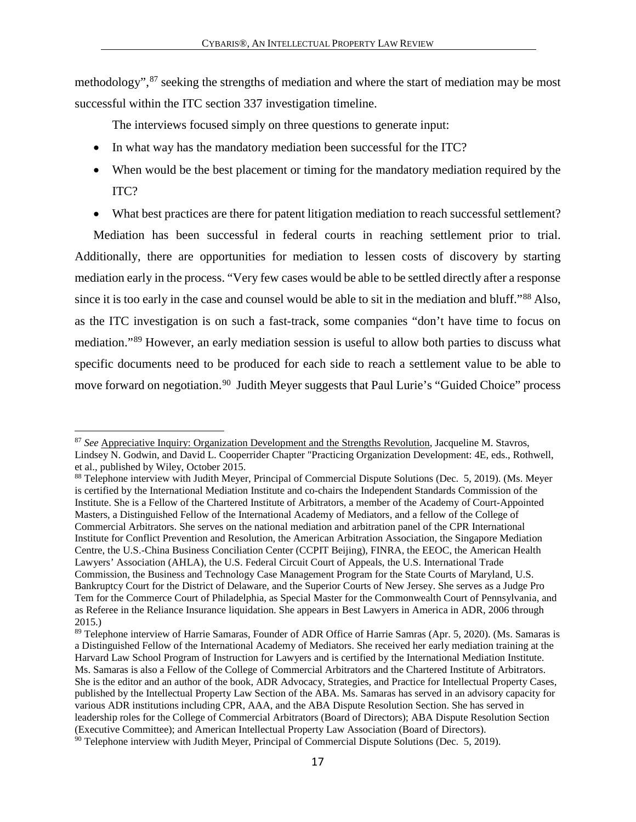methodology", <sup>[87](#page-17-0)</sup> seeking the strengths of mediation and where the start of mediation may be most successful within the ITC section 337 investigation timeline.

The interviews focused simply on three questions to generate input:

- In what way has the mandatory mediation been successful for the ITC?
- When would be the best placement or timing for the mandatory mediation required by the ITC?
- What best practices are there for patent litigation mediation to reach successful settlement?

Mediation has been successful in federal courts in reaching settlement prior to trial. Additionally, there are opportunities for mediation to lessen costs of discovery by starting mediation early in the process. "Very few cases would be able to be settled directly after a response since it is too early in the case and counsel would be able to sit in the mediation and bluff."[88](#page-17-1) Also, as the ITC investigation is on such a fast-track, some companies "don't have time to focus on mediation."[89](#page-17-2) However, an early mediation session is useful to allow both parties to discuss what specific documents need to be produced for each side to reach a settlement value to be able to move forward on negotiation.<sup>[90](#page-17-3)</sup> Judith Meyer suggests that Paul Lurie's "Guided Choice" process

<span id="page-17-0"></span> $\overline{a}$ <sup>87</sup> *See* Appreciative Inquiry: Organization Development and the Strengths Revolution, Jacqueline M. Stavros, Lindsey N. Godwin, and David L. Cooperrider Chapter "Practicing Organization Development: 4E, eds., Rothwell, et al., published by Wiley, October 2015.

<span id="page-17-1"></span><sup>88</sup> Telephone interview with Judith Meyer, Principal of Commercial Dispute Solutions (Dec. 5, 2019). (Ms. Meyer is certified by the International Mediation Institute and co-chairs the Independent Standards Commission of the Institute. She is a Fellow of the Chartered Institute of Arbitrators, a member of the Academy of Court-Appointed Masters, a Distinguished Fellow of the International Academy of Mediators, and a fellow of the College of Commercial Arbitrators. She serves on the national mediation and arbitration panel of the CPR International Institute for Conflict Prevention and Resolution, the American Arbitration Association, the Singapore Mediation Centre, the U.S.-China Business Conciliation Center (CCPIT Beijing), FINRA, the EEOC, the American Health Lawyers' Association (AHLA), the U.S. Federal Circuit Court of Appeals, the U.S. International Trade Commission, the Business and Technology Case Management Program for the State Courts of Maryland, U.S. Bankruptcy Court for the District of Delaware, and the Superior Courts of New Jersey. She serves as a Judge Pro Tem for the Commerce Court of Philadelphia, as Special Master for the Commonwealth Court of Pennsylvania, and as Referee in the Reliance Insurance liquidation. She appears in Best Lawyers in America in ADR, 2006 through 2015.)

<span id="page-17-3"></span><span id="page-17-2"></span><sup>&</sup>lt;sup>89</sup> Telephone interview of Harrie Samaras, Founder of ADR Office of Harrie Samras (Apr. 5, 2020). (Ms. Samaras is a Distinguished Fellow of the International Academy of Mediators. She received her early mediation training at the Harvard Law School Program of Instruction for Lawyers and is certified by the International Mediation Institute. Ms. Samaras is also a Fellow of the College of Commercial Arbitrators and the Chartered Institute of Arbitrators. She is the editor and an author of the book, ADR Advocacy, Strategies, and Practice for Intellectual Property Cases, published by the Intellectual Property Law Section of the ABA. Ms. Samaras has served in an advisory capacity for various ADR institutions including CPR, AAA, and the ABA Dispute Resolution Section. She has served in leadership roles for the College of Commercial Arbitrators (Board of Directors); ABA Dispute Resolution Section (Executive Committee); and American Intellectual Property Law Association (Board of Directors).  $90$  Telephone interview with Judith Meyer, Principal of Commercial Dispute Solutions (Dec. 5, 2019).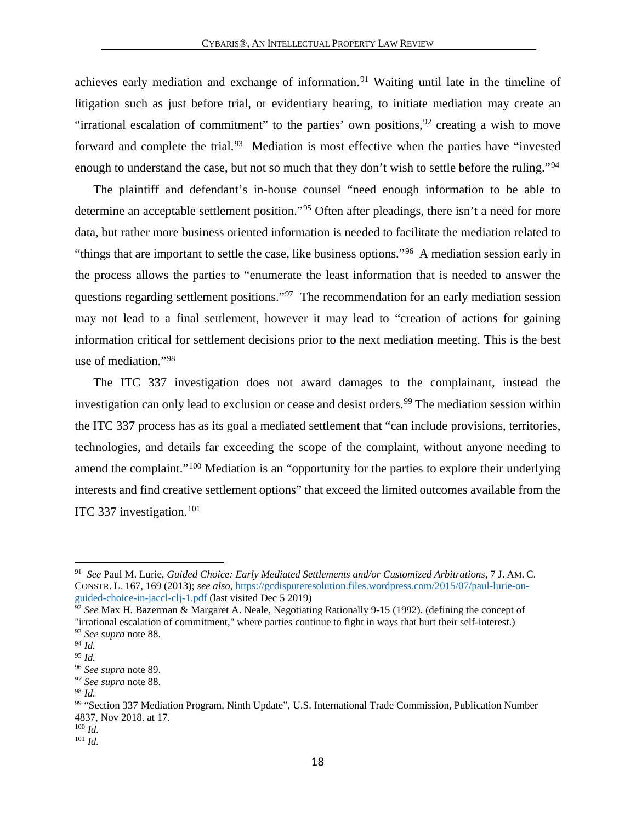achieves early mediation and exchange of information.<sup>[91](#page-18-0)</sup> Waiting until late in the timeline of litigation such as just before trial, or evidentiary hearing, to initiate mediation may create an "irrational escalation of commitment" to the parties' own positions,  $92$  creating a wish to move forward and complete the trial.<sup>93</sup> Mediation is most effective when the parties have "invested" enough to understand the case, but not so much that they don't wish to settle before the ruling."<sup>[94](#page-18-3)</sup>

The plaintiff and defendant's in-house counsel "need enough information to be able to determine an acceptable settlement position."[95](#page-18-4) Often after pleadings, there isn't a need for more data, but rather more business oriented information is needed to facilitate the mediation related to "things that are important to settle the case, like business options."[96](#page-18-5) A mediation session early in the process allows the parties to "enumerate the least information that is needed to answer the questions regarding settlement positions.["97](#page-18-6) The recommendation for an early mediation session may not lead to a final settlement, however it may lead to "creation of actions for gaining information critical for settlement decisions prior to the next mediation meeting. This is the best use of mediation."[98](#page-18-7)

The ITC 337 investigation does not award damages to the complainant, instead the investigation can only lead to exclusion or cease and desist orders.<sup>[99](#page-18-8)</sup> The mediation session within the ITC 337 process has as its goal a mediated settlement that "can include provisions, territories, technologies, and details far exceeding the scope of the complaint, without anyone needing to amend the complaint."[100](#page-18-9) Mediation is an "opportunity for the parties to explore their underlying interests and find creative settlement options" that exceed the limited outcomes available from the ITC 337 investigation. [101](#page-18-10) 

<span id="page-18-0"></span><sup>91</sup> *See* Paul M. Lurie, *Guided Choice: Early Mediated Settlements and/or Customized Arbitrations*, 7 J. AM. C. CONSTR. L. 167, 169 (2013); *see also*, [https://gcdisputeresolution.files.wordpress.com/2015/07/paul-lurie-on](https://gcdisputeresolution.files.wordpress.com/2015/07/paul-lurie-on-guided-choice-in-jaccl-clj-1.pdf)[guided-choice-in-jaccl-clj-1.pdf](https://gcdisputeresolution.files.wordpress.com/2015/07/paul-lurie-on-guided-choice-in-jaccl-clj-1.pdf) (last visited Dec 5 2019)

<span id="page-18-1"></span><sup>92</sup> *See* Max H. Bazerman & Margaret A. Neale, Negotiating Rationally 9-15 (1992). (defining the concept of "irrational escalation of commitment," where parties continue to fight in ways that hurt their self-interest.) <sup>93</sup> *See supra* note 88.

<span id="page-18-3"></span><span id="page-18-2"></span><sup>94</sup> *Id.*

<span id="page-18-4"></span><sup>95</sup> *Id.*

<span id="page-18-5"></span><sup>96</sup> *See supra* note 89.

<span id="page-18-6"></span>*<sup>97</sup> See supra* note 88.

<span id="page-18-7"></span><sup>98</sup> *Id.*

<span id="page-18-8"></span><sup>99</sup> "Section 337 Mediation Program, Ninth Update", U.S. International Trade Commission, Publication Number 4837, Nov 2018. at 17.

<span id="page-18-10"></span><span id="page-18-9"></span><sup>100</sup> *Id.* <sup>101</sup> *Id.*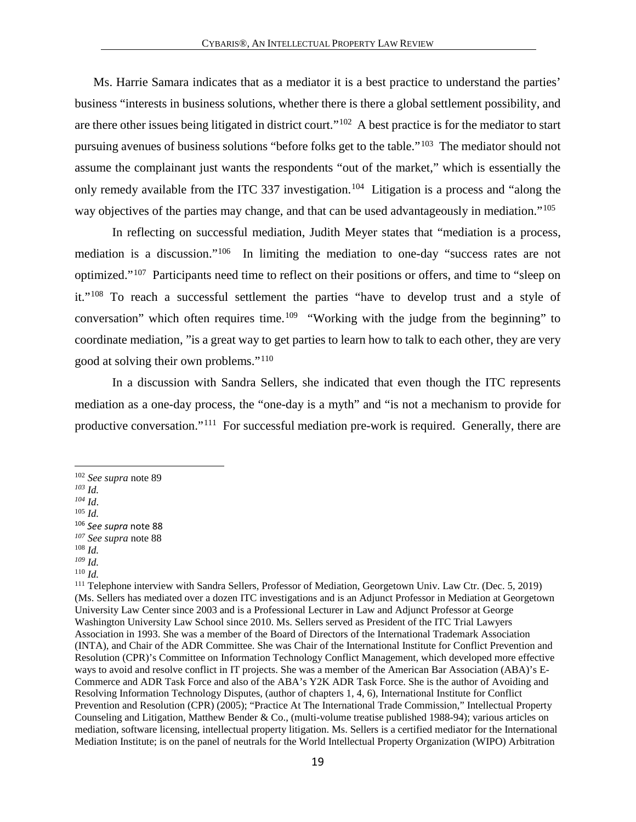Ms. Harrie Samara indicates that as a mediator it is a best practice to understand the parties' business "interests in business solutions, whether there is there a global settlement possibility, and are there other issues being litigated in district court."[102](#page-19-0) A best practice is for the mediator to start pursuing avenues of business solutions "before folks get to the table."[103](#page-19-1) The mediator should not assume the complainant just wants the respondents "out of the market," which is essentially the only remedy available from the ITC 337 investigation.<sup>[104](#page-19-2)</sup> Litigation is a process and "along the way objectives of the parties may change, and that can be used advantageously in mediation."<sup>[105](#page-19-3)</sup>

In reflecting on successful mediation, Judith Meyer states that "mediation is a process, mediation is a discussion."[106](#page-19-4) In limiting the mediation to one-day "success rates are not optimized."[107](#page-19-5) Participants need time to reflect on their positions or offers, and time to "sleep on it."[108](#page-19-6) To reach a successful settlement the parties "have to develop trust and a style of conversation" which often requires time.<sup>109</sup> "Working with the judge from the beginning" to coordinate mediation, "is a great way to get parties to learn how to talk to each other, they are very good at solving their own problems."[110](#page-19-8)

In a discussion with Sandra Sellers, she indicated that even though the ITC represents mediation as a one-day process, the "one-day is a myth" and "is not a mechanism to provide for productive conversation."[111](#page-19-9) For successful mediation pre-work is required. Generally, there are

<sup>102</sup> *See supra* note 89

<span id="page-19-1"></span><span id="page-19-0"></span>*<sup>103</sup> Id.*

<span id="page-19-3"></span><span id="page-19-2"></span>*<sup>104</sup> Id*. 105 *Id.*

<span id="page-19-4"></span><sup>106</sup> *See supra* note 88 *<sup>107</sup> See supra* note 88

<span id="page-19-6"></span><span id="page-19-5"></span><sup>108</sup> *Id.*

<span id="page-19-7"></span>*<sup>109</sup> Id.*

<span id="page-19-8"></span><sup>110</sup> *Id.*

<span id="page-19-9"></span><sup>111</sup> Telephone interview with Sandra Sellers, Professor of Mediation, Georgetown Univ. Law Ctr. (Dec. 5, 2019) (Ms. Sellers has mediated over a dozen ITC investigations and is an Adjunct Professor in Mediation at Georgetown University Law Center since 2003 and is a Professional Lecturer in Law and Adjunct Professor at George Washington University Law School since 2010. Ms. Sellers served as President of the ITC Trial Lawyers Association in 1993. She was a member of the Board of Directors of the International Trademark Association (INTA), and Chair of the ADR Committee. She was Chair of the International Institute for Conflict Prevention and Resolution (CPR)'s Committee on Information Technology Conflict Management, which developed more effective ways to avoid and resolve conflict in IT projects. She was a member of the American Bar Association (ABA)'s E-Commerce and ADR Task Force and also of the ABA's Y2K ADR Task Force. She is the author of Avoiding and Resolving Information Technology Disputes, (author of chapters 1, 4, 6), International Institute for Conflict Prevention and Resolution (CPR) (2005); "Practice At The International Trade Commission," Intellectual Property Counseling and Litigation, Matthew Bender & Co., (multi-volume treatise published 1988-94); various articles on mediation, software licensing, intellectual property litigation. Ms. Sellers is a certified mediator for the International Mediation Institute; is on the panel of neutrals for the World Intellectual Property Organization (WIPO) Arbitration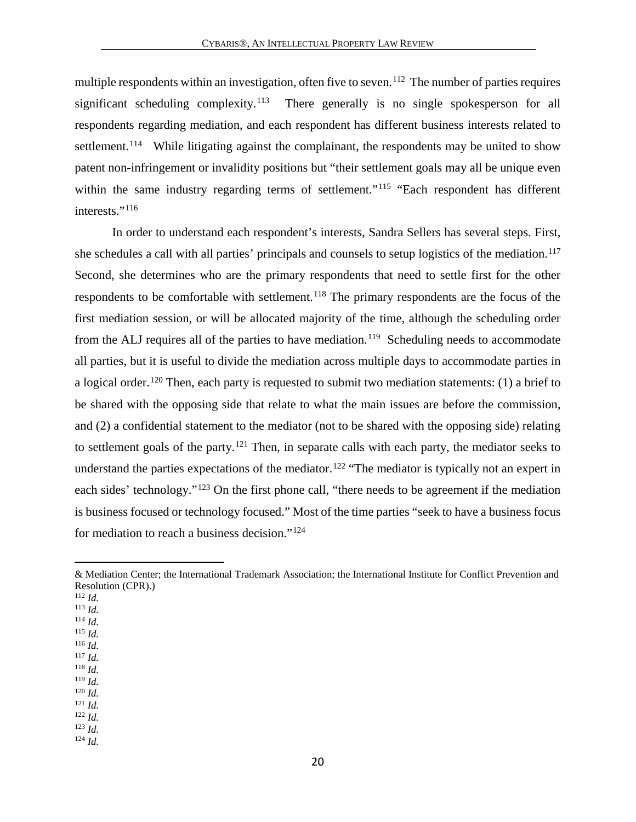multiple respondents within an investigation, often five to seven.<sup>[112](#page-20-0)</sup> The number of parties requires significant scheduling complexity.<sup>[113](#page-20-1)</sup> There generally is no single spokesperson for all respondents regarding mediation, and each respondent has different business interests related to settlement.<sup>114</sup> While litigating against the complainant, the respondents may be united to show patent non-infringement or invalidity positions but "their settlement goals may all be unique even within the same industry regarding terms of settlement."<sup>[115](#page-20-3)</sup> "Each respondent has different interests."<sup>[116](#page-20-4)</sup>

In order to understand each respondent's interests, Sandra Sellers has several steps. First, she schedules a call with all parties' principals and counsels to setup logistics of the mediation.<sup>[117](#page-20-5)</sup> Second, she determines who are the primary respondents that need to settle first for the other respondents to be comfortable with settlement.<sup>[118](#page-20-6)</sup> The primary respondents are the focus of the first mediation session, or will be allocated majority of the time, although the scheduling order from the ALJ requires all of the parties to have mediation.<sup>[119](#page-20-7)</sup> Scheduling needs to accommodate all parties, but it is useful to divide the mediation across multiple days to accommodate parties in a logical order.<sup>[120](#page-20-8)</sup> Then, each party is requested to submit two mediation statements: (1) a brief to be shared with the opposing side that relate to what the main issues are before the commission, and (2) a confidential statement to the mediator (not to be shared with the opposing side) relating to settlement goals of the party.[121](#page-20-9) Then, in separate calls with each party, the mediator seeks to understand the parties expectations of the mediator.<sup>[122](#page-20-10)</sup> "The mediator is typically not an expert in each sides' technology."<sup>[123](#page-20-11)</sup> On the first phone call, "there needs to be agreement if the mediation is business focused or technology focused." Most of the time parties "seek to have a business focus for mediation to reach a business decision."[124](#page-20-12)

 $\overline{a}$ 

- <span id="page-20-1"></span><sup>113</sup> *Id.*
- <span id="page-20-2"></span><sup>114</sup> *Id.* <sup>115</sup> *Id.*
- <span id="page-20-4"></span><span id="page-20-3"></span><sup>116</sup> *Id.*

- <span id="page-20-6"></span><sup>118</sup> *Id.*
- <span id="page-20-7"></span><sup>119</sup> *Id.*
- <span id="page-20-8"></span><sup>120</sup> *Id.* <sup>121</sup> *Id.*
- <span id="page-20-10"></span><span id="page-20-9"></span><sup>122</sup> *Id.*

<sup>124</sup> *Id.*

<sup>&</sup>amp; Mediation Center; the International Trademark Association; the International Institute for Conflict Prevention and Resolution (CPR).)

<span id="page-20-0"></span><sup>112</sup> *Id.*

<span id="page-20-5"></span><sup>117</sup> *Id.*

<span id="page-20-12"></span><span id="page-20-11"></span><sup>123</sup> *Id.*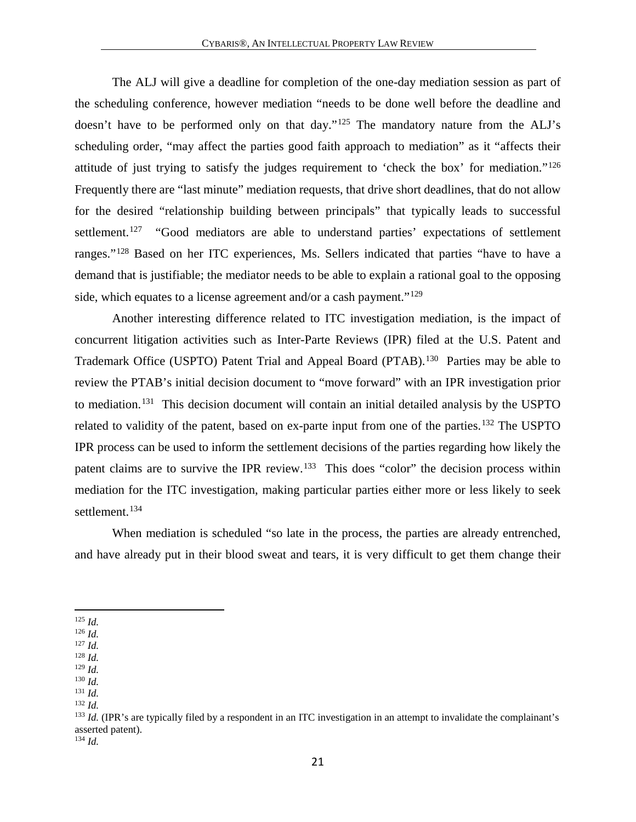The ALJ will give a deadline for completion of the one-day mediation session as part of the scheduling conference, however mediation "needs to be done well before the deadline and doesn't have to be performed only on that day."<sup>[125](#page-21-0)</sup> The mandatory nature from the ALJ's scheduling order, "may affect the parties good faith approach to mediation" as it "affects their attitude of just trying to satisfy the judges requirement to 'check the box' for mediation."[126](#page-21-1) Frequently there are "last minute" mediation requests, that drive short deadlines, that do not allow for the desired "relationship building between principals" that typically leads to successful settlement.<sup>[127](#page-21-2)</sup> "Good mediators are able to understand parties' expectations of settlement ranges."[128](#page-21-3) Based on her ITC experiences, Ms. Sellers indicated that parties "have to have a demand that is justifiable; the mediator needs to be able to explain a rational goal to the opposing side, which equates to a license agreement and/or a cash payment."<sup>[129](#page-21-4)</sup>

Another interesting difference related to ITC investigation mediation, is the impact of concurrent litigation activities such as Inter-Parte Reviews (IPR) filed at the U.S. Patent and Trademark Office (USPTO) Patent Trial and Appeal Board (PTAB).<sup>[130](#page-21-5)</sup> Parties may be able to review the PTAB's initial decision document to "move forward" with an IPR investigation prior to mediation.<sup>[131](#page-21-6)</sup> This decision document will contain an initial detailed analysis by the USPTO related to validity of the patent, based on ex-parte input from one of the parties.<sup>[132](#page-21-7)</sup> The USPTO IPR process can be used to inform the settlement decisions of the parties regarding how likely the patent claims are to survive the IPR review.<sup>[133](#page-21-8)</sup> This does "color" the decision process within mediation for the ITC investigation, making particular parties either more or less likely to seek settlement.<sup>[134](#page-21-9)</sup>

When mediation is scheduled "so late in the process, the parties are already entrenched, and have already put in their blood sweat and tears, it is very difficult to get them change their

 $\overline{a}$ 

<span id="page-21-5"></span><span id="page-21-4"></span><sup>130</sup> *Id.*

<sup>125</sup> *Id.*

<span id="page-21-1"></span><span id="page-21-0"></span><sup>126</sup> *Id.*

<span id="page-21-2"></span><sup>127</sup> *Id.* <sup>128</sup> *Id.*

<span id="page-21-3"></span><sup>129</sup> *Id.*

<span id="page-21-6"></span><sup>131</sup> *Id.*

<span id="page-21-7"></span><sup>132</sup> *Id.*

<span id="page-21-9"></span><span id="page-21-8"></span> $133$  *Id.* (IPR's are typically filed by a respondent in an ITC investigation in an attempt to invalidate the complainant's asserted patent). <sup>134</sup> *Id.*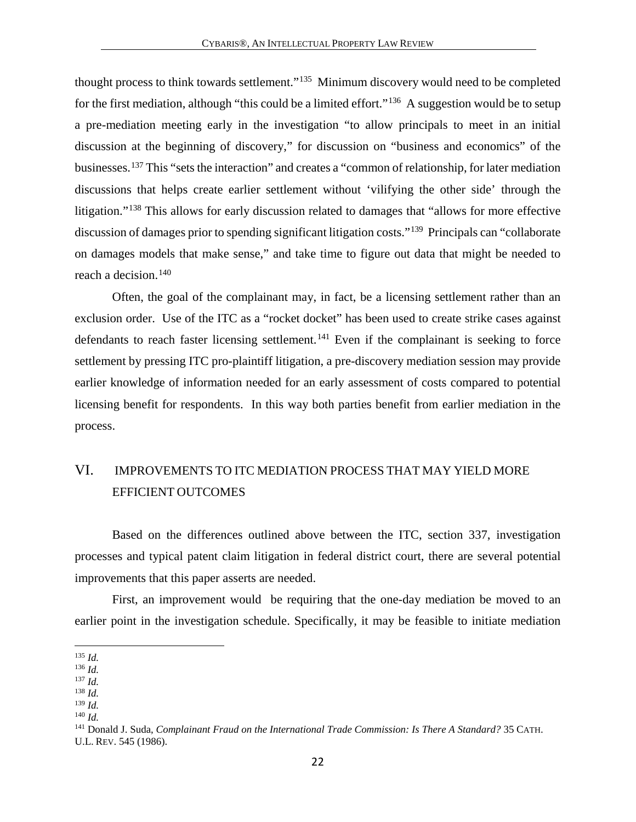thought process to think towards settlement."[135](#page-22-1) Minimum discovery would need to be completed for the first mediation, although "this could be a limited effort."<sup>[136](#page-22-2)</sup> A suggestion would be to setup a pre-mediation meeting early in the investigation "to allow principals to meet in an initial discussion at the beginning of discovery," for discussion on "business and economics" of the businesses.[137](#page-22-3) This "sets the interaction" and creates a "common of relationship, for later mediation discussions that helps create earlier settlement without 'vilifying the other side' through the litigation."<sup>[138](#page-22-4)</sup> This allows for early discussion related to damages that "allows for more effective discussion of damages prior to spending significant litigation costs."[139](#page-22-5) Principals can "collaborate on damages models that make sense," and take time to figure out data that might be needed to reach a decision.[140](#page-22-6)

Often, the goal of the complainant may, in fact, be a licensing settlement rather than an exclusion order. Use of the ITC as a "rocket docket" has been used to create strike cases against defendants to reach faster licensing settlement.<sup>[141](#page-22-7)</sup> Even if the complainant is seeking to force settlement by pressing ITC pro-plaintiff litigation, a pre-discovery mediation session may provide earlier knowledge of information needed for an early assessment of costs compared to potential licensing benefit for respondents. In this way both parties benefit from earlier mediation in the process.

### <span id="page-22-0"></span>VI. IMPROVEMENTS TO ITC MEDIATION PROCESS THAT MAY YIELD MORE EFFICIENT OUTCOMES

Based on the differences outlined above between the ITC, section 337, investigation processes and typical patent claim litigation in federal district court, there are several potential improvements that this paper asserts are needed.

First, an improvement would be requiring that the one-day mediation be moved to an earlier point in the investigation schedule. Specifically, it may be feasible to initiate mediation

 $\overline{a}$ <sup>135</sup> *Id.*

<span id="page-22-2"></span><span id="page-22-1"></span><sup>136</sup> *Id.*

<span id="page-22-3"></span><sup>137</sup> *Id.*

<span id="page-22-5"></span><span id="page-22-4"></span> $139$  *Id.* 

<span id="page-22-6"></span><sup>140</sup> *Id.*

<span id="page-22-7"></span><sup>141</sup> Donald J. Suda, *Complainant Fraud on the International Trade Commission: Is There A Standard?* 35 CATH. U.L. REV. 545 (1986).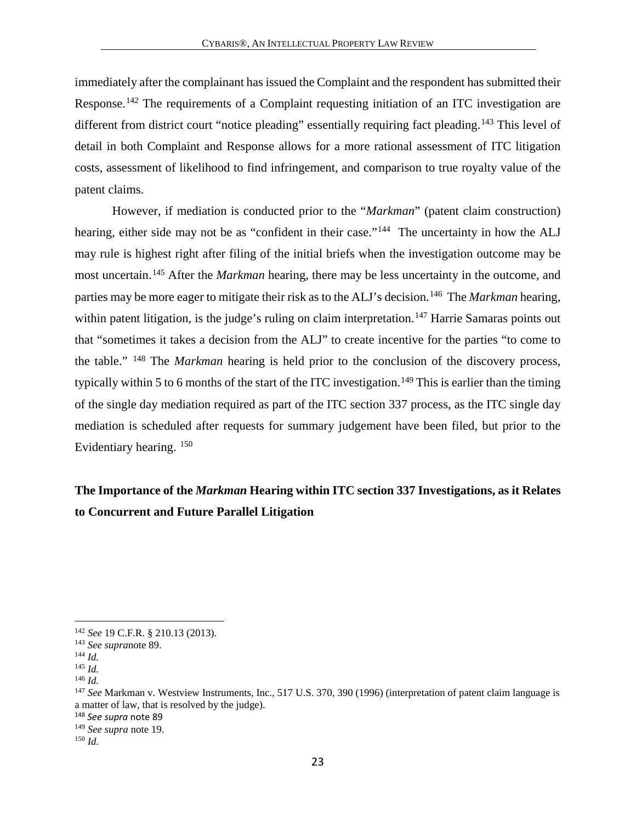immediately after the complainant has issued the Complaint and the respondent has submitted their Response.<sup>[142](#page-23-1)</sup> The requirements of a Complaint requesting initiation of an ITC investigation are different from district court "notice pleading" essentially requiring fact pleading.<sup>[143](#page-23-2)</sup> This level of detail in both Complaint and Response allows for a more rational assessment of ITC litigation costs, assessment of likelihood to find infringement, and comparison to true royalty value of the patent claims.

However, if mediation is conducted prior to the "*Markman*" (patent claim construction) hearing, either side may not be as "confident in their case."<sup>144</sup> The uncertainty in how the ALJ may rule is highest right after filing of the initial briefs when the investigation outcome may be most uncertain.[145](#page-23-4) After the *Markman* hearing, there may be less uncertainty in the outcome, and parties may be more eager to mitigate their risk as to the ALJ's decision. [146](#page-23-5) The *Markman* hearing, within patent litigation, is the judge's ruling on claim interpretation.<sup>[147](#page-23-6)</sup> Harrie Samaras points out that "sometimes it takes a decision from the ALJ" to create incentive for the parties "to come to the table." [148](#page-23-7) The *Markman* hearing is held prior to the conclusion of the discovery process, typically within 5 to 6 months of the start of the ITC investigation.<sup>[149](#page-23-8)</sup> This is earlier than the timing of the single day mediation required as part of the ITC section 337 process, as the ITC single day mediation is scheduled after requests for summary judgement have been filed, but prior to the Evidentiary hearing. [150](#page-23-9)

# <span id="page-23-0"></span>**The Importance of the** *Markman* **Hearing within ITC section 337 Investigations, as it Relates to Concurrent and Future Parallel Litigation**

<span id="page-23-2"></span><span id="page-23-1"></span><sup>142</sup> *See* 19 C.F.R. § 210.13 (2013). 143 *See supra*note 89. 144 *Id.*

<span id="page-23-4"></span><span id="page-23-3"></span><sup>145</sup> *Id.*

<span id="page-23-5"></span><sup>146</sup> *Id.*

<span id="page-23-6"></span><sup>147</sup> *See* Markman v. Westview Instruments, Inc.*,* 517 U.S. 370, 390 (1996) (interpretation of patent claim language is a matter of law, that is resolved by the judge).

<span id="page-23-7"></span><sup>148</sup> *See supra* note 89

<span id="page-23-8"></span><sup>149</sup> *See supra* note 19. 150 *Id.*

<span id="page-23-9"></span>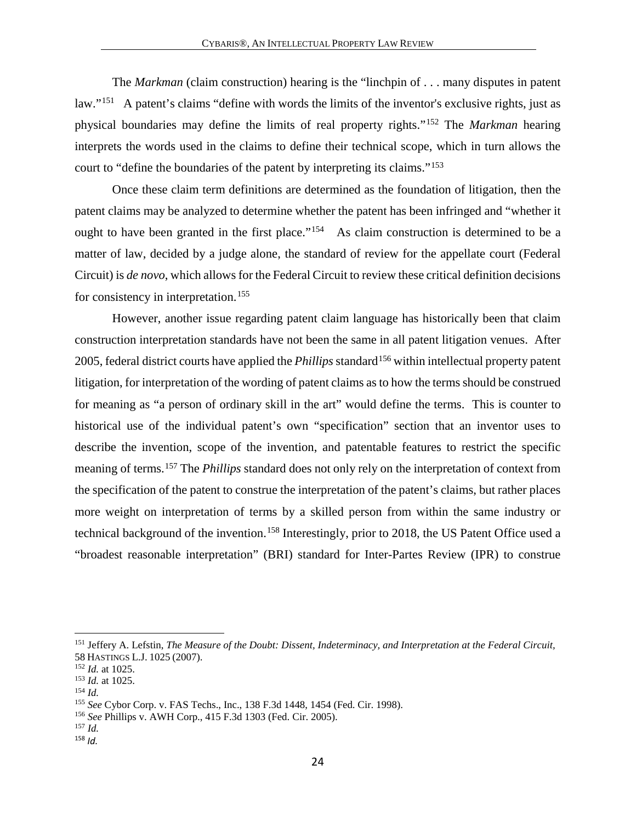The *Markman* (claim construction) hearing is the "linchpin of . . . many disputes in patent law."[151](#page-24-0) A patent's claims "define with words the limits of the inventor's exclusive rights, just as physical boundaries may define the limits of real property rights."[152](#page-24-1) The *Markman* hearing interprets the words used in the claims to define their technical scope, which in turn allows the court to "define the boundaries of the patent by interpreting its claims."[153](#page-24-2)

Once these claim term definitions are determined as the foundation of litigation, then the patent claims may be analyzed to determine whether the patent has been infringed and "whether it ought to have been granted in the first place."<sup>[154](#page-24-3)</sup> As claim construction is determined to be a matter of law, decided by a judge alone, the standard of review for the appellate court (Federal Circuit) is *de novo*, which allows for the Federal Circuit to review these critical definition decisions for consistency in interpretation. [155](#page-24-4)

However, another issue regarding patent claim language has historically been that claim construction interpretation standards have not been the same in all patent litigation venues. After 2005, federal district courts have applied the *Phillips* standard<sup>[156](#page-24-5)</sup> within intellectual property patent litigation, for interpretation of the wording of patent claims as to how the terms should be construed for meaning as "a person of ordinary skill in the art" would define the terms. This is counter to historical use of the individual patent's own "specification" section that an inventor uses to describe the invention, scope of the invention, and patentable features to restrict the specific meaning of terms.[157](#page-24-6) The *Phillips* standard does not only rely on the interpretation of context from the specification of the patent to construe the interpretation of the patent's claims, but rather places more weight on interpretation of terms by a skilled person from within the same industry or technical background of the invention.[158](#page-24-7) Interestingly, prior to 2018, the US Patent Office used a "broadest reasonable interpretation" (BRI) standard for Inter-Partes Review (IPR) to construe

<span id="page-24-0"></span><sup>151</sup> Jeffery A. Lefstin, *The Measure of the Doubt: Dissent, Indeterminacy, and Interpretation at the Federal Circuit,* 58 HASTINGS L.J. 1025 (2007).<br><sup>152</sup> Id. at 1025.

<span id="page-24-1"></span><sup>&</sup>lt;sup>153</sup> *Id.* at 1025.

<span id="page-24-3"></span><span id="page-24-2"></span><sup>154</sup> *Id.*

<span id="page-24-4"></span><sup>155</sup> *See* Cybor Corp. v. FAS Techs., Inc., 138 F.3d 1448, 1454 (Fed. Cir. 1998).

<sup>156</sup> *See* Phillips v. AWH Corp., 415 F.3d 1303 (Fed. Cir. 2005).

<span id="page-24-6"></span><span id="page-24-5"></span><sup>157</sup> *Id.*

<span id="page-24-7"></span><sup>158</sup> *Id.*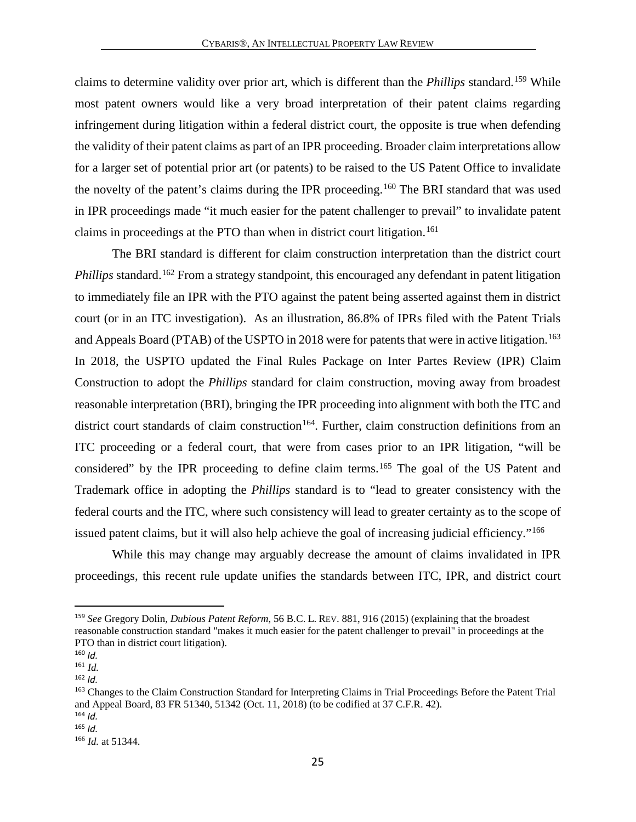claims to determine validity over prior art, which is different than the *Phillips* standard.[159](#page-25-0) While most patent owners would like a very broad interpretation of their patent claims regarding infringement during litigation within a federal district court, the opposite is true when defending the validity of their patent claims as part of an IPR proceeding. Broader claim interpretations allow for a larger set of potential prior art (or patents) to be raised to the US Patent Office to invalidate the novelty of the patent's claims during the IPR proceeding.<sup>[160](#page-25-1)</sup> The BRI standard that was used in IPR proceedings made "it much easier for the patent challenger to prevail" to invalidate patent claims in proceedings at the PTO than when in district court litigation.<sup>[161](#page-25-2)</sup>

The BRI standard is different for claim construction interpretation than the district court *Phillips* standard.<sup>[162](#page-25-3)</sup> From a strategy standpoint, this encouraged any defendant in patent litigation to immediately file an IPR with the PTO against the patent being asserted against them in district court (or in an ITC investigation). As an illustration, 86.8% of IPRs filed with the Patent Trials and Appeals Board (PTAB) of the USPTO in 2018 were for patents that were in active litigation.<sup>[163](#page-25-4)</sup> In 2018, the USPTO updated the Final Rules Package on Inter Partes Review (IPR) Claim Construction to adopt the *Phillips* standard for claim construction, moving away from broadest reasonable interpretation (BRI), bringing the IPR proceeding into alignment with both the ITC and district court standards of claim construction<sup>[164](#page-25-5)</sup>. Further, claim construction definitions from an ITC proceeding or a federal court, that were from cases prior to an IPR litigation, "will be considered" by the IPR proceeding to define claim terms. [165](#page-25-6) The goal of the US Patent and Trademark office in adopting the *Phillips* standard is to "lead to greater consistency with the federal courts and the ITC, where such consistency will lead to greater certainty as to the scope of issued patent claims, but it will also help achieve the goal of increasing judicial efficiency."[166](#page-25-7)

While this may change may arguably decrease the amount of claims invalidated in IPR proceedings, this recent rule update unifies the standards between ITC, IPR, and district court

<span id="page-25-0"></span> <sup>159</sup> *See* Gregory Dolin, *Dubious Patent Reform*, 56 B.C. L. REV. 881, 916 (2015) (explaining that the broadest reasonable construction standard "makes it much easier for the patent challenger to prevail" in proceedings at the PTO than in district court litigation).

<span id="page-25-1"></span> $160$  *Id.* 

<span id="page-25-2"></span><sup>161</sup> *Id.*

<span id="page-25-3"></span><sup>162</sup> *Id.*

<span id="page-25-4"></span><sup>163</sup> Changes to the Claim Construction Standard for Interpreting Claims in Trial Proceedings Before the Patent Trial and Appeal Board, 83 FR 51340, 51342 (Oct. 11, 2018) (to be codified at 37 C.F.R. 42).

<span id="page-25-5"></span> $164$  *Id.* 

<span id="page-25-6"></span><sup>165</sup> *Id.*

<span id="page-25-7"></span><sup>166</sup> *Id.* at 51344.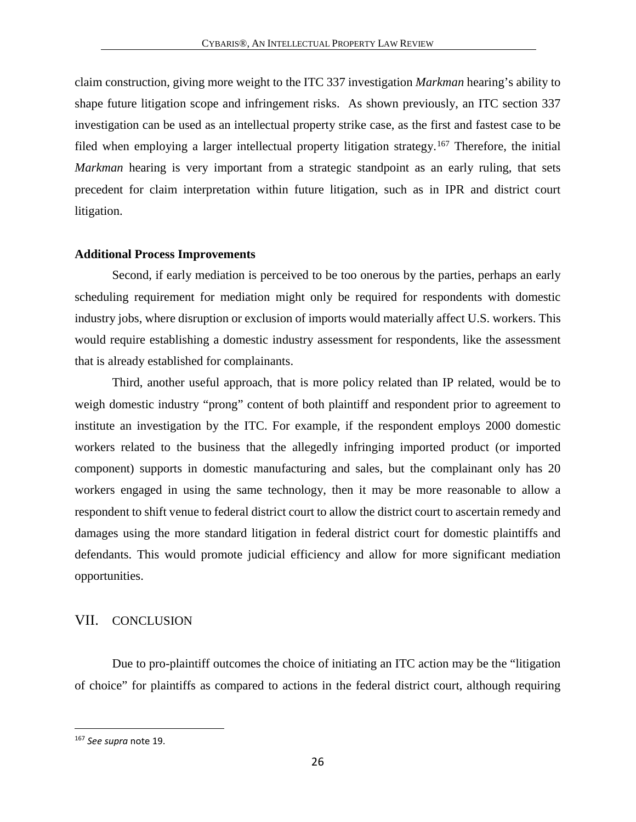claim construction, giving more weight to the ITC 337 investigation *Markman* hearing's ability to shape future litigation scope and infringement risks. As shown previously, an ITC section 337 investigation can be used as an intellectual property strike case, as the first and fastest case to be filed when employing a larger intellectual property litigation strategy.<sup>[167](#page-26-2)</sup> Therefore, the initial *Markman* hearing is very important from a strategic standpoint as an early ruling, that sets precedent for claim interpretation within future litigation, such as in IPR and district court litigation.

#### <span id="page-26-0"></span>**Additional Process Improvements**

Second, if early mediation is perceived to be too onerous by the parties, perhaps an early scheduling requirement for mediation might only be required for respondents with domestic industry jobs, where disruption or exclusion of imports would materially affect U.S. workers. This would require establishing a domestic industry assessment for respondents, like the assessment that is already established for complainants.

Third, another useful approach, that is more policy related than IP related, would be to weigh domestic industry "prong" content of both plaintiff and respondent prior to agreement to institute an investigation by the ITC. For example, if the respondent employs 2000 domestic workers related to the business that the allegedly infringing imported product (or imported component) supports in domestic manufacturing and sales, but the complainant only has 20 workers engaged in using the same technology, then it may be more reasonable to allow a respondent to shift venue to federal district court to allow the district court to ascertain remedy and damages using the more standard litigation in federal district court for domestic plaintiffs and defendants. This would promote judicial efficiency and allow for more significant mediation opportunities.

#### <span id="page-26-1"></span>VII. CONCLUSION

Due to pro-plaintiff outcomes the choice of initiating an ITC action may be the "litigation of choice" for plaintiffs as compared to actions in the federal district court, although requiring

<span id="page-26-2"></span><sup>167</sup> *See supra* note 19.